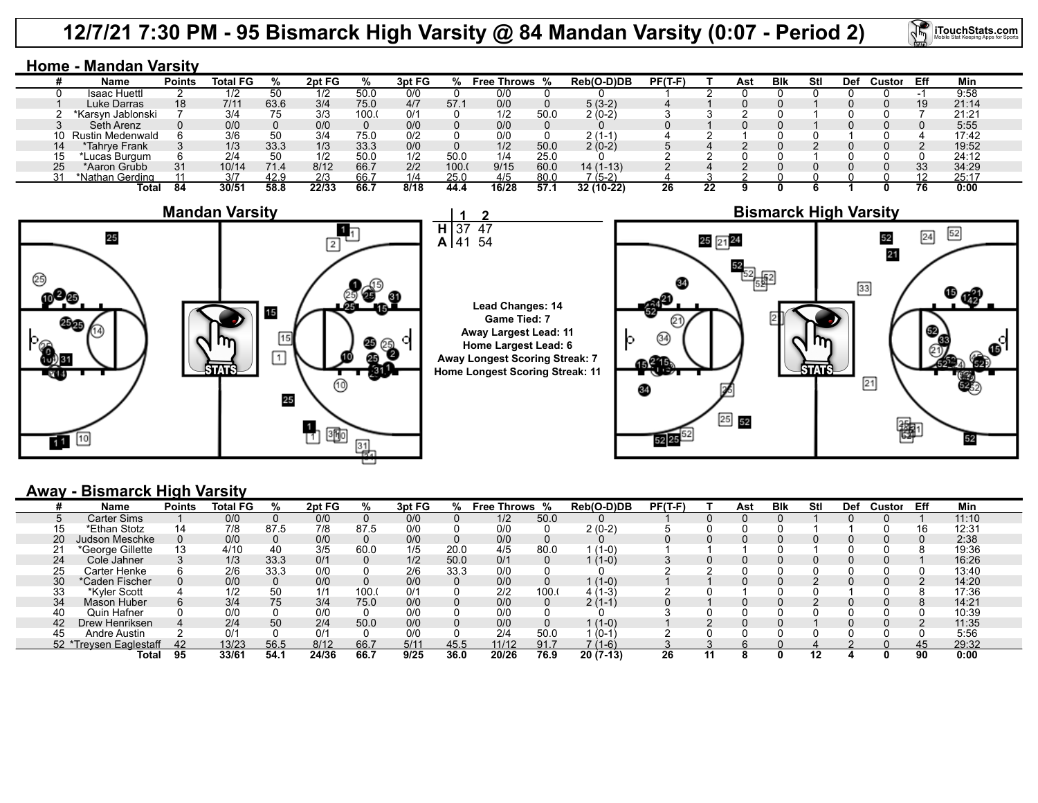## **12/7/21 7:30 PM - 95 Bismarck High Varsity @ 84 Mandan Varsity (0:07 - Period 2)**

**Home - Mandan Varsity**

|    | Name                | <b>Points</b> | <b>Total FG</b> |      | 2pt FG | ℅     | 3pt FG |      | <b>Free Throws</b> % |      | Reb(O-D)DB | $PF(T-F)$ |    | Ast | <b>B</b> lk | Stl | Def | Custor | Eff | Min   |
|----|---------------------|---------------|-----------------|------|--------|-------|--------|------|----------------------|------|------------|-----------|----|-----|-------------|-----|-----|--------|-----|-------|
|    | <b>Isaac Huettl</b> |               | 1/2             | 50   | 1/2    | 50.C  | 0/0    |      | U/U                  |      |            |           |    |     |             |     |     |        |     | 9:58  |
|    | Luke Darras         | 18            | 7/11            | 63.6 | 3/4    | 75.0  | 4/7    | 57.7 | 0/0                  |      | $5(3-2)$   |           |    |     |             |     |     |        | 19  | 21:14 |
|    | *Karsyn Jablonski   |               |                 |      | 3/3    | 100.0 | 0/1    |      | 1/2                  | 50.0 | 2 (0-2)    |           |    |     |             |     |     |        |     | 21:21 |
|    | Seth Arenz          |               | 0/0             |      | 0/0    |       | 0/0    |      | 0/0                  |      |            |           |    |     |             |     |     |        |     | 5:55  |
|    | 10 Rustin Medenwald |               | 3/6             | 50   | 3/4    | 75.0  | 0/2    |      | 0/0                  |      | $2(1-1)$   |           |    |     |             |     |     |        |     | 17:42 |
| 14 | *Tahrve Frank       |               | 1/3             | 33.3 | 1/3    | 33.3  | 0/0    |      | 1/2                  | 50.0 | 2 (0-2)    |           |    |     |             |     |     |        |     | 19:52 |
|    | *Lucas Burgum       |               | 2/4             | 50   | 1/2    | 50.0  | 1/2    | 50.0 | 1/4                  | 25.0 |            |           |    |     |             |     |     |        |     | 24:12 |
| 25 | *Aaron Grubb        | 31            | 10/14           | 71.4 | 8/12   | 66.7  | 2/2    | 100. | 9/15                 | 60.0 | $14(1-13)$ |           |    |     |             |     |     |        | 33  | 34:29 |
|    | *Nathan Gerding     |               |                 | 42.9 | 2/3    | 66.   | 1/4    | 25.0 | 4/5                  | 80.0 | (5-2)      |           |    |     |             |     |     |        |     | 25:17 |
|    | Tota                | 84            | 30/51           | 58.8 | 22/33  | 66.7  | 8/18   | 44.4 | 16/28                | 57.1 | 32 (10-22) | 26        | 22 |     |             |     |     |        |     | 0:00  |







**iTouchStats.com** 

## **Away - Bismarck High Varsity**

|    | Name                   | <b>Points</b> | <b>Total FG</b> | %    | 2pt FG | %    | 3pt FG |      | % Free Throws % |      | Reb(O-D)DB | $PF(T-F)$ | Ast | Blk | Stl | Def | Custor | Eff | Min   |
|----|------------------------|---------------|-----------------|------|--------|------|--------|------|-----------------|------|------------|-----------|-----|-----|-----|-----|--------|-----|-------|
|    | Carter Sims            |               | 0/0             |      | 0/0    |      | 0/0    |      | 1/2             | 50.0 |            |           |     |     |     |     |        |     | 11:10 |
|    | *Ethan Stotz           | 14            | 7/8             | 87.5 | 7/8    | 87.5 | 0/0    |      | 0/0             |      | $2(0-2)$   |           |     |     |     |     |        | 16  | 12:31 |
| 20 | ludson Meschke         | 0             | 0/0             |      | 0/0    |      | 0/0    |      | 0/0             |      |            |           |     |     |     |     |        |     | 2:38  |
|    | *George Gillette       |               | 4/10            |      | 3/5    | 60.0 | 1/5    | 20.0 | 4/5             | 80.0 | $(1-0)$    |           |     |     |     |     |        |     | 19:36 |
| 24 | Cole Jahner            |               | 1/3             | 33.3 | 0/1    |      | 1/2    | 50.0 | 0/1             |      | $(1-0)$    |           |     |     |     |     |        |     | 16:26 |
| 25 | Carter Henke           |               | 2/6             | 33.3 | 0/0    |      | 2/6    | 33.3 | 0/0             |      |            |           |     |     |     |     |        |     | 13:40 |
| 30 | *Caden Fischer         |               | 0/0             |      | 0/0    |      | 0/0    |      | 0/0             |      | $1(1-0)$   |           |     |     |     |     |        |     | 14:20 |
| 33 | *Kyler Scott           |               | 1/2             | 50   | 1/1    | 100. | 0/1    |      | 2/2             | 100. | 4 (1-3)    |           |     |     |     |     |        |     | 17:36 |
| 34 | Mason Huber            | 6             | 3/4             | 75   | 3/4    | 75.0 | 0/0    |      | 0/0             |      | 2 (1-1)    |           |     |     |     |     |        |     | 14:21 |
| 40 | Quin Hafner            |               | 0/0             |      | 0/0    |      | 0/0    |      | 0/0             |      |            |           |     |     |     |     |        |     | 10:39 |
| 42 | Drew Henriksen         |               | 2/4             | 50   | 2/4    | 50.0 | 0/0    |      | 0/0             |      | $1(1-0)$   |           |     |     |     |     |        |     | 11:35 |
| 45 | Andre Austin           |               | 0/1             |      | 0/1    |      | 0/0    |      | 2/4             | 50.0 | $(0-1)$    |           |     |     |     |     |        |     | 5:56  |
|    | 52 *Treysen Eaglestaff | 42            | 13/23           | 56.5 | 8/12   | 66.7 | 5/11   | 45.5 | 11/12           | 91.7 | $7(1-6)$   |           |     |     |     |     |        | 45  | 29:32 |
|    | Total                  | 95            | 33/61           | 54.1 | 24/36  | 66.7 | 9/25   | 36.0 | 20/26           | 76.9 | $20(7-13)$ | 26        |     |     | 12  |     |        | 90  | 0:00  |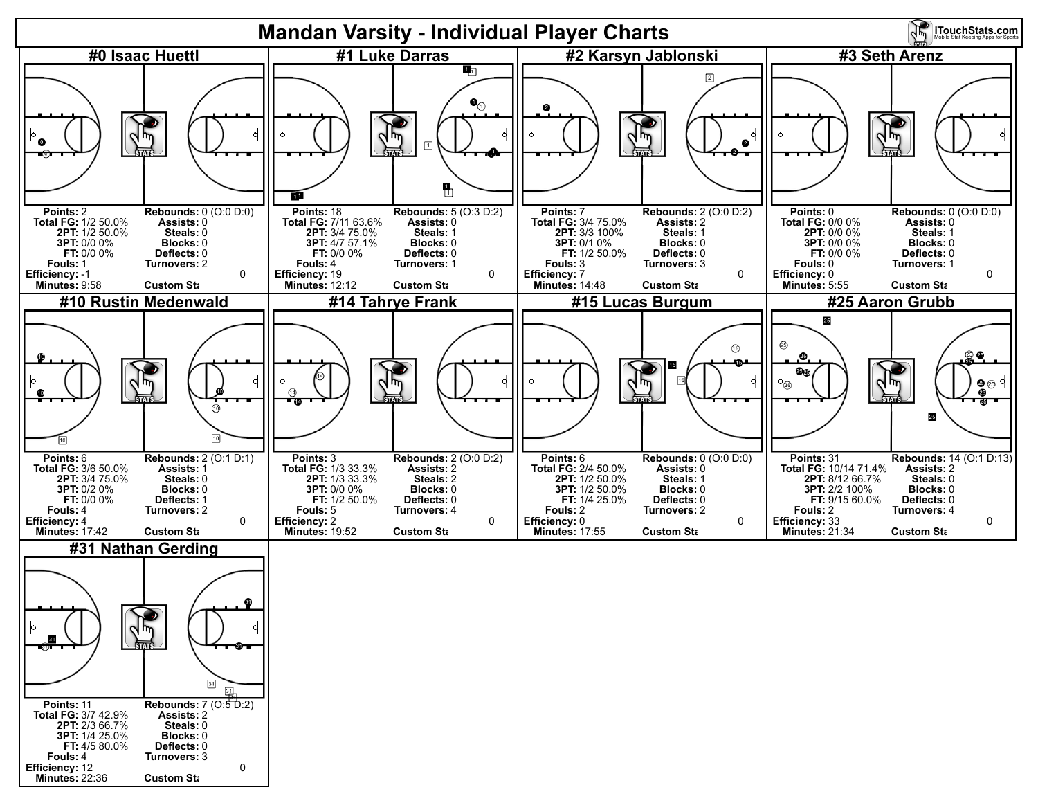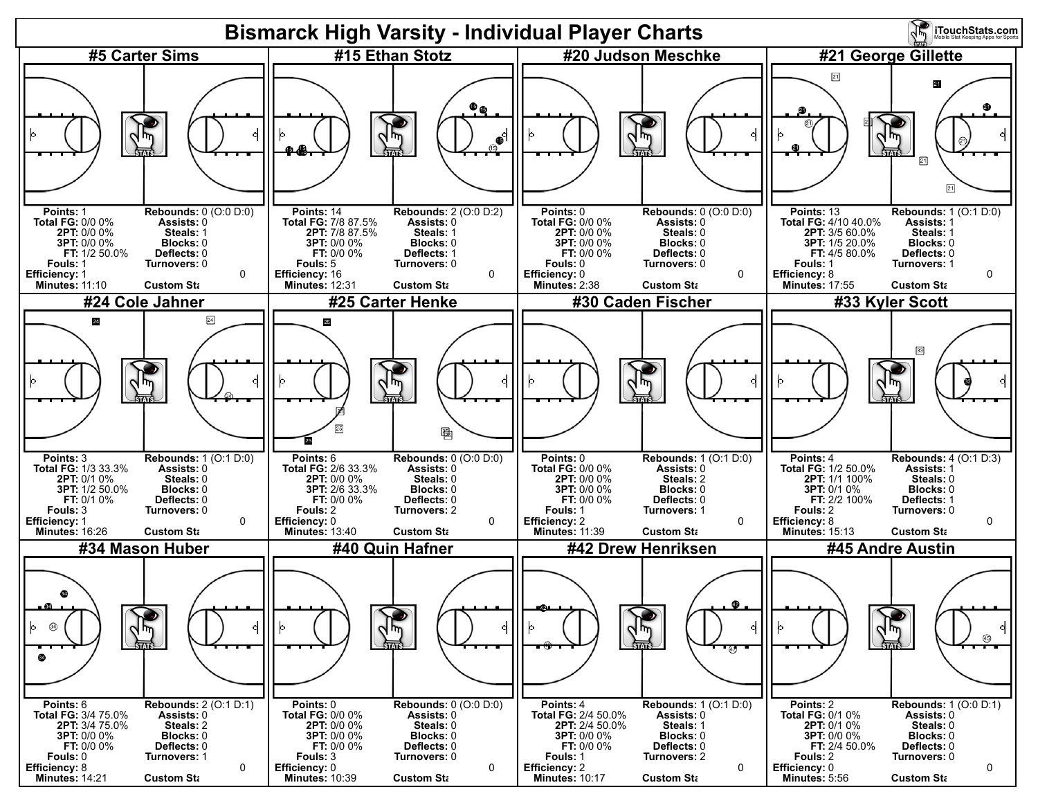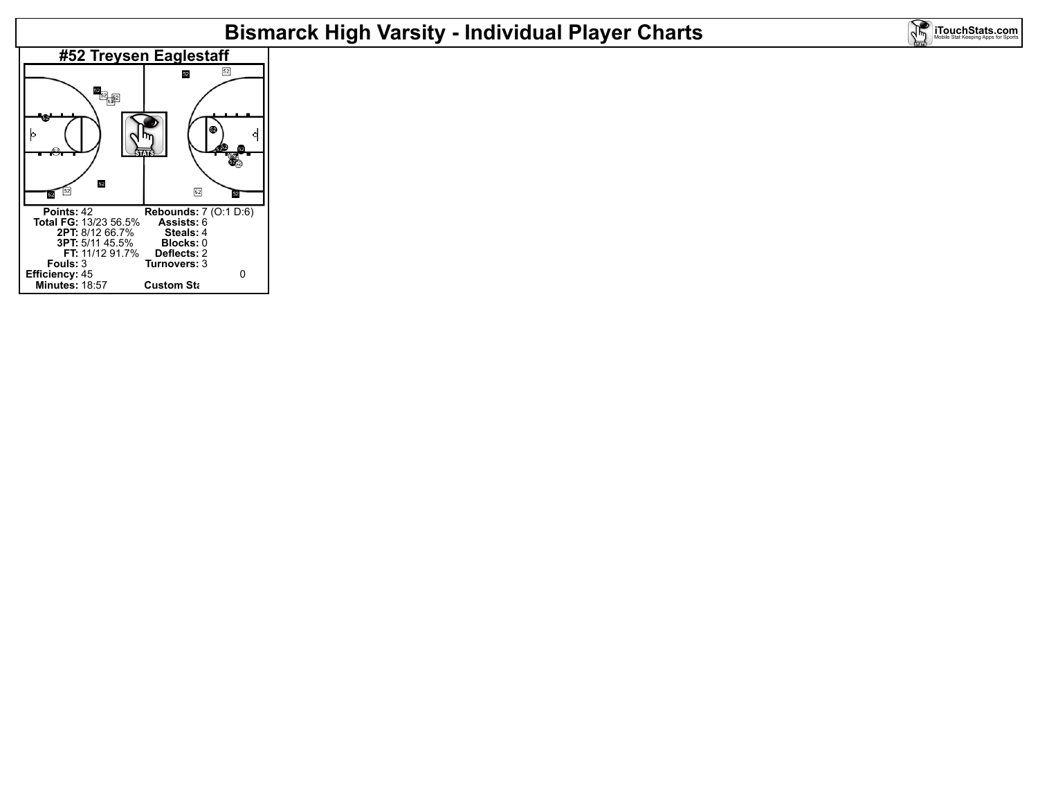# **Bismarck High Varsity - Individual Player Charts**



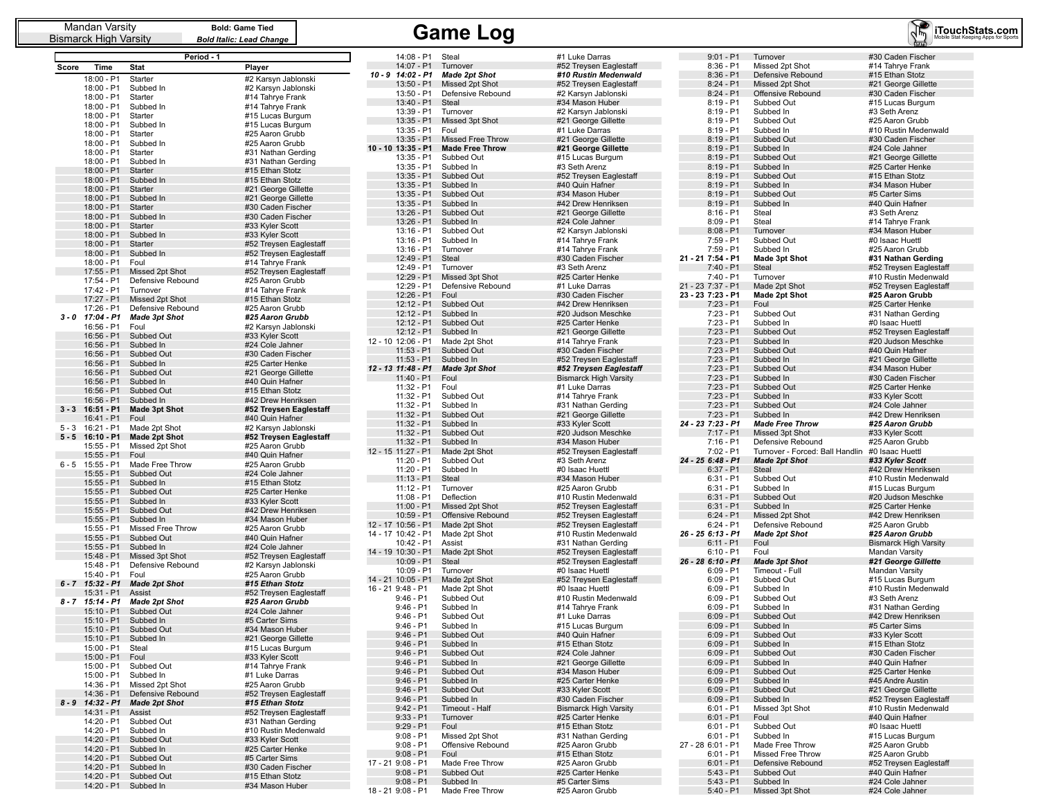Bismarck High Varsity

|         |                            | Period - 1                                |                                            |
|---------|----------------------------|-------------------------------------------|--------------------------------------------|
| Score   | Time                       | Stat                                      | Player                                     |
|         | 18:00 - P1                 | Starter                                   | #2 Karsyn Jablonski                        |
|         | 18:00 - P1                 | Subbed In                                 | #2 Karsyn Jablonski                        |
|         | 18:00 - P1                 | Starter                                   | #14 Tahrye Frank                           |
|         | 18:00 - P1                 | Subbed In                                 | #14 Tahrye Frank                           |
|         | 18:00 - P1                 | Starter                                   | #15 Lucas Burgum                           |
|         | 18:00 - P1<br>18:00 - P1   | Subbed In<br>Starter                      | #15 Lucas Burgum<br>#25 Aaron Grubb        |
|         | 18:00 - P1                 | Subbed In                                 | #25 Aaron Grubb                            |
|         | 18:00 - P1                 | Starter                                   | #31 Nathan Gerding                         |
|         | 18:00 - P1                 | Subbed In                                 | #31 Nathan Gerding                         |
|         | 18:00 - P1                 | Starter                                   | #15 Ethan Stotz                            |
|         | 18:00 - P1                 | Subbed In                                 | #15 Ethan Stotz                            |
|         | 18:00 - P1<br>18:00 - P1   | Starter                                   | #21 George Gillette                        |
|         | 18:00 - P1                 | Subbed In<br>Starter                      | #21 George Gillette<br>#30 Caden Fischer   |
|         | 18:00 - P1                 | Subbed In                                 | #30 Caden Fischer                          |
|         | 18:00 - P1                 | Starter                                   | #33 Kyler Scott                            |
|         | 18:00 - P1                 | Subbed In                                 | #33 Kyler Scott                            |
|         | 18:00 - P1                 | Starter                                   | #52 Treysen Eaglestaff                     |
|         | 18:00 - P1                 | Subbed In                                 | #52 Treysen Eaglestaff                     |
|         | 18:00 - P1<br>$17:55 - P1$ | Foul<br>Missed 2pt Shot                   | #14 Tahrye Frank<br>#52 Treysen Eaglestaff |
|         | 17:54 - P1                 | Defensive Rebound                         | #25 Aaron Grubb                            |
|         | 17:42 - P1                 | Turnover                                  | #14 Tahrye Frank                           |
|         | 17:27 - P1                 | Missed 2pt Shot                           | #15 Ethan Stotz                            |
|         | 17:26 - P1                 | Defensive Rebound                         | #25 Aaron Grubb                            |
| 3 - 0   | $17:04 - P1$               | <b>Made 3pt Shot</b><br>Foul              | #25 Aaron Grubb                            |
|         | 16:56 - P1<br>16:56 - P1   | Subbed Out                                | #2 Karsyn Jablonski<br>#33 Kyler Scott     |
|         | 16:56 - P1                 | Subbed In                                 | #24 Cole Jahner                            |
|         | 16:56 - P1                 | Subbed Out                                | #30 Caden Fischer                          |
|         | 16:56 - P1                 | Subbed In                                 | #25 Carter Henke                           |
|         | 16:56 - P1                 | Subbed Out                                | #21 George Gillette                        |
|         | 16:56 - P1                 | Subbed In                                 | #40 Quin Hafner                            |
|         | $16:56 - P1$<br>16:56 - P1 | Subbed Out<br>Subbed In                   | #15 Ethan Stotz<br>#42 Drew Henriksen      |
| $3 - 3$ | 16:51 P1                   | <b>Made 3pt Shot</b>                      | #52 Treysen Eaglestaff                     |
|         | 16:41 - P1                 | Foul                                      | #40 Quin Hafner                            |
| $5 - 3$ | 16:21 - P1                 | Made 2pt Shot                             | #2 Karsyn Jablonski                        |
| $5-5$   | 16:10 P1                   | <b>Made 2pt Shot</b>                      | #52 Treysen Eaglestaff                     |
|         | 15:55 - P1                 | Missed 2pt Shot<br>Foul                   | #25 Aaron Grubb<br>#40 Quin Hafner         |
| 6 - 5   | 15:55 - P1<br>15:55 - P1   | Made Free Throw                           | #25 Aaron Grubb                            |
|         | 15:55 - P1                 | Subbed Out                                | #24 Cole Jahner                            |
|         | 15:55 - P1                 | Subbed In                                 | #15 Ethan Stotz                            |
|         | 15:55 - P1                 | Subbed Out                                | #25 Carter Henke                           |
|         | 15:55 - P1                 | Subbed In                                 | #33 Kyler Scott                            |
|         | 15:55 - P1<br>15:55 - P1   | Subbed Out<br>Subbed In                   | #42 Drew Henriksen<br>#34 Mason Huber      |
|         | 15:55 - P1                 | Missed Free Throw                         | #25 Aaron Grubb                            |
|         | 15:55 - P1                 | Subbed Out                                | #40 Quin Hafner                            |
|         | 15:55 - P1                 | Subbed In                                 | #24 Cole Jahner                            |
|         | 15:48 - P1                 | Missed 3pt Shot                           | #52 Treysen Eaglestaff                     |
|         | 15:48 - P1<br>15:40 - P1   | Defensive Rebound<br>Foul                 | #2 Karsyn Jablonski<br>#25 Aaron Grubb     |
| $6 - 7$ | $15:32 - P1$               | <b>Made 2pt Shot</b>                      | #15 Ethan Stotz                            |
|         | 15:31 - P1                 | Assist                                    | #52 Treysen Eaglestaff                     |
| 8 - 7   | 15:14 - P1                 | <b>Made 2pt Shot</b>                      | #25 Aaron Grubb                            |
|         | 15:10 - P1                 | Subbed Out                                | #24 Cole Jahner                            |
|         | 15:10 - P1                 | Subbed In                                 | #5 Carter Sims                             |
|         | 15:10 - P1<br>15:10 - P1   | Subbed Out<br>Subbed In                   | #34 Mason Huber<br>#21 George Gillette     |
|         | 15:00 - P1                 | Steal                                     | #15 Lucas Burgum                           |
|         | 15:00 - P1                 | Foul                                      | #33 Kyler Scott                            |
|         | 15:00 - P1                 | Subbed Out                                | #14 Tahrye Frank                           |
|         | 15:00 - P1                 | Subbed In                                 | #1 Luke Darras                             |
|         | 14:36 - P1                 | Missed 2pt Shot                           | #25 Aaron Grubb                            |
| $8 - 9$ | 14:36 - P1<br>$14:32 - P1$ | Defensive Rebound<br><b>Made 2pt Shot</b> | #52 Treysen Eaglestaff<br>#15 Ethan Stotz  |
|         | 14:31 - P1                 | Assist                                    | #52 Treysen Eaglestaff                     |
|         | 14:20 - P1                 | Subbed Out                                | #31 Nathan Gerding                         |
|         | 14:20 - P1                 | Subbed In                                 | #10 Rustin Medenwald                       |
|         | 14:20 - P1                 | Subbed Out                                | #33 Kyler Scott                            |
|         | 14:20 - P1<br>14:20 - P1   | Subbed In<br>Subbed Out                   | #25 Carter Henke                           |
|         | 14:20 - P1                 | Subbed In                                 | #5 Carter Sims<br>#30 Caden Fischer        |
|         | 14:20 - P1                 | Subbed Out                                | #15 Ethan Stotz                            |
|         | 14:20 - P1                 | Subbed In                                 | #34 Mason Huber                            |

|                                          | .<br>⋯<br>J                          |                                                   |
|------------------------------------------|--------------------------------------|---------------------------------------------------|
| 14:08 - P1                               | Steal                                | #1 Luke Darras                                    |
| 14:07 - P1                               | Turnover                             | #52 Treysen Eaglestaff                            |
| 10-9 14:02-P1                            | <b>Made 2pt Shot</b>                 | #10 Rustin Medenwald<br>#52 Treysen Eaglestaff    |
| $13:50 - P1$<br>13:50 - P1               | Missed 2pt Shot<br>Defensive Rebound | #2 Karsyn Jablonski                               |
| 13:40 - P1                               | Steal                                | #34 Mason Huber                                   |
| 13:39 - P1                               | Turnover                             | #2 Karsyn Jablonski                               |
| 13:35 - P1<br>13:35 - P1                 | Missed 3pt Shot<br>Foul              | #21 George Gillette                               |
| 13:35 - P1                               | <b>Missed Free Throw</b>             | #1 Luke Darras<br>#21 George Gillette             |
| 10 10 13:35 P1                           | <b>Made Free Throw</b>               | #21 George Gillette                               |
| 13:35 - P1                               | Subbed Out                           | #15 Lucas Burgum                                  |
| 13:35 - P1<br>13:35 - P1                 | Subbed In<br>Subbed Out              | #3 Seth Arenz<br>#52 Treysen Eaglestaff           |
| 13:35 - P1                               | Subbed In                            | #40 Quin Hafner                                   |
| 13:35 - P1                               | Subbed Out                           | #34 Mason Huber                                   |
| 13:35 - P1                               | Subbed In                            | #42 Drew Henriksen                                |
| 13:26 - P1<br>13:26 - P1                 | Subbed Out<br>Subbed In              | #21 George Gillette<br>#24 Cole Jahner            |
| 13:16 - P1                               | Subbed Out                           | #2 Karsyn Jablonski                               |
| 13:16 - P1                               | Subbed In                            | #14 Tahrye Frank                                  |
| 13:16 - P1                               | Turnover                             | #14 Tahrye Frank                                  |
| 12:49 - P1<br>12:49 - P1                 | Steal<br>Turnover                    | #30 Caden Fischer<br>#3 Seth Arenz                |
| 12:29 - P1                               | Missed 3pt Shot                      | #25 Carter Henke                                  |
| 12:29 - P1                               | Defensive Rebound                    | #1 Luke Darras                                    |
| 12:26 - P1                               | Foul                                 | #30 Caden Fischer                                 |
| 12:12 - P1<br>$12:12 - P1$               | Subbed Out<br>Subbed In              | #42 Drew Henriksen<br>#20 Judson Meschke          |
| 12:12 - P1                               | Subbed Out                           | #25 Carter Henke                                  |
| 12:12 - P1                               | Subbed In                            | #21 George Gillette                               |
| 12 - 10 12:06 - P1                       | Made 2pt Shot                        | #14 Tahrye Frank                                  |
| 11:53 - P1<br>$11:53 - P1$               | Subbed Out<br>Subbed In              | #30 Caden Fischer<br>#52 Treysen Eaglestaff       |
| 12 - 13 11:48 - P1                       | <b>Made 3pt Shot</b>                 | #52 Treysen Eaglestaff                            |
| 11:40 - P1                               | Foul                                 | <b>Bismarck High Varsity</b>                      |
| 11:32 - P1<br>$11:32 - P1$               | Foul                                 | #1 Luke Darras                                    |
| 11:32 - P1                               | Subbed Out<br>Subbed In              | #14 Tahrye Frank<br>#31 Nathan Gerding            |
| 11:32 - P1                               | Subbed Out                           | #21 George Gillette                               |
| $11:32 - P1$                             | Subbed In                            | #33 Kyler Scott                                   |
| 11:32 - P1                               | Subbed Out                           | #20 Judson Meschke                                |
| 11:32 - P1<br>12 - 15 11:27 - P1         | Subbed In<br>Made 2pt Shot           | #34 Mason Huber<br>#52 Treysen Eaglestaff         |
| 11:20 - P1                               | Subbed Out                           | #3 Seth Arenz                                     |
| 11:20 - P1                               | Subbed In                            | #0 Isaac Huettl                                   |
| $11:13 - P1$<br>11:12 - P1               | Steal<br>Turnover                    | #34 Mason Huber<br>#25 Aaron Grubb                |
| 11:08 - P1                               | Deflection                           | #10 Rustin Medenwald                              |
| $11:00 - P1$                             | Missed 2pt Shot                      | #52 Treysen Eaglestaff                            |
| 10:59 - P1                               | Offensive Rebound                    | #52 Treysen Eaglestaff                            |
| 12 - 17 10:56 - P1<br>14 - 17 10:42 - P1 | Made 2pt Shot<br>Made 2pt Shot       | #52 Treysen Eaglestaff<br>#10 Rustin Medenwald    |
| 10:42 - P1                               | Assist                               | #31 Nathan Gerding                                |
| 14 - 19 10:30 - P1                       | Made 2pt Shot                        | #52 Treysen Eaglestaff                            |
| 10:09 - P1<br>10:09 - P1                 | Steal<br>Turnover                    | #52 Treysen Eaglestaff<br>#0 Isaac Huettl         |
| 14 - 21 10:05 - P1                       | Made 2pt Shot                        | #52 Treysen Eaglestaff                            |
| 16 - 21 9:48 - P1                        | Made 2pt Shot                        | #0 Isaac Huettl                                   |
| $9:46 - P1$                              | Subbed Out                           | #10 Rustin Medenwald                              |
| $9:46 - P1$<br>$9:46 - P1$               | Subbed In<br>Subbed Out              | #14 Tahrye Frank<br>#1 Luke Darras                |
| 9:46 - P1                                | Subbed In                            | #15 Lucas Burgum                                  |
| $9:46 - P1$                              | Subbed Out                           | #40 Quin Hafner                                   |
| $9:46 - P1$                              | Subbed In                            | #15 Ethan Stotz                                   |
| $9:46 - P1$<br>$9:46 - P1$               | Subbed Out<br>Subbed In              | #24 Cole Jahner<br>#21 George Gillette            |
| $9:46 - P1$                              | Subbed Out                           | #34 Mason Huber                                   |
| $9:46 - P1$                              | Subbed In                            | #25 Carter Henke                                  |
| $9:46 - P1$<br>$9:46 - P1$               | Subbed Out<br>Subbed In              | #33 Kyler Scott                                   |
| $9:42 - P1$                              | Timeout - Half                       | #30 Caden Fischer<br><b>Bismarck High Varsity</b> |
| $9:33 - P1$                              | Turnover                             | #25 Carter Henke                                  |
| $9:29 - P1$                              | Foul                                 | #15 Ethan Stotz                                   |
| 9:08 - P1<br>$9:08 - P1$                 | Missed 2pt Shot                      | #31 Nathan Gerding                                |
| $9:08 - P1$                              | Offensive Rebound<br>Foul            | #25 Aaron Grubb<br>#15 Ethan Stotz                |
| 17 - 21 9:08 - P1                        | Made Free Throw                      | #25 Aaron Grubb                                   |
| $9:08 - P1$                              | Subbed Out                           | #25 Carter Henke                                  |
| $9:08 - P1$<br>18 - 21 9:08 - P1         | Subbed In<br>Made Free Throw         | #5 Carter Sims<br>#25 Aaron Grubb                 |
|                                          |                                      |                                                   |

| #1 Luke Darras                                 |                      | 9:                  |
|------------------------------------------------|----------------------|---------------------|
| #52 Treysen Eaglestaff                         |                      | 8                   |
| #10 Rustin Medenwald                           |                      | 8                   |
| #52 Treysen Eaglestaff                         |                      | 8                   |
| #2 Karsyn Jablonski<br>#34 Mason Huber         |                      | 8<br>8:             |
| #2 Karsyn Jablonski                            |                      | 8                   |
| #21 George Gillette                            |                      | 8                   |
| #1 Luke Darras                                 |                      | 8:<br>8             |
| #21 George Gillette<br>#21 George Gillette     |                      | 8                   |
| #15 Lucas Burgum                               |                      | 8                   |
| #3 Seth Arenz                                  |                      | 8                   |
| #52 Treysen Eaglestaff                         |                      | 8                   |
| #40 Quin Hafner<br>#34 Mason Huber             |                      | 8<br>8              |
| #42 Drew Henriksen                             |                      | 8                   |
| #21 George Gillette                            |                      | 8:                  |
| #24 Cole Jahner                                |                      | 8:                  |
| #2 Karsyn Jablonski<br>#14 Tahrye Frank        |                      | 8<br>7:             |
| #14 Tahrye Frank                               |                      | 7:                  |
| #30 Caden Fischer                              | 21 - 21              | 7                   |
| #3 Seth Arenz                                  |                      | 7:                  |
| #25 Carter Henke                               |                      | 7:                  |
| #1 Luke Darras<br>#30 Caden Fischer            | $21 - 23$<br>23 - 23 | 7:<br>7:            |
| #42 Drew Henriksen                             |                      | 7:                  |
| #20 Judson Meschke                             |                      | 7:                  |
| #25 Carter Henke                               |                      | 7:                  |
| #21 George Gillette<br>#14 Tahrye Frank        |                      | 7:<br>7:            |
| #30 Caden Fischer                              |                      | 7:                  |
| #52 Treysen Eaglestaff                         |                      | 7:                  |
| #52 Treysen Eaglestaff                         |                      | 7:                  |
| <b>Bismarck High Varsity</b>                   |                      | 7:                  |
| #1 Luke Darras<br>#14 Tahrye Frank             |                      | 7:<br>7:            |
| #31 Nathan Gerding                             |                      | 7:                  |
| #21 George Gillette                            |                      | 7:                  |
| #33 Kyler Scott                                | 24 - 23              | 7,                  |
| #20 Judson Meschke<br>#34 Mason Huber          |                      | 7:<br>7:            |
| #52 Treysen Eaglestaff                         |                      | $\overline{7}$      |
| #3 Seth Arenz                                  | $24 - 25$            | 6.                  |
| #0 Isaac Huettl                                |                      | 6:                  |
| #34 Mason Huber<br>#25 Aaron Grubb             |                      | 6:<br>6:            |
| #10 Rustin Medenwald                           |                      | 6:                  |
| #52 Treysen Eaglestaff                         |                      | 6:                  |
| #52 Treysen Eaglestaff                         |                      | 6:                  |
| #52 Treysen Eaglestaff<br>#10 Rustin Medenwald | 26 - 25              | 6:<br>6.            |
| #31 Nathan Gerding                             |                      | 6:                  |
| #52 Treysen Eaglestaff                         |                      | 6:                  |
| #52 Treysen Eaglestaff                         | $26 - 28$            | 6.                  |
| #0 Isaac Huettl                                |                      | 6:                  |
| #52 Treysen Eaglestaff<br>#0 Isaac Huettl      |                      | 6:<br>6:            |
| #10 Rustin Medenwald                           |                      | 6:                  |
| #14 Tahrye Frank                               |                      | 6:                  |
| #1 Luke Darras                                 |                      | 6.                  |
| #15 Lucas Burgum<br>#40 Quin Hafner            |                      | 6:<br>6             |
| #15 Ethan Stotz                                |                      | 6                   |
| #24 Cole Jahner                                |                      | 6:                  |
| #21 George Gillette                            |                      | 6:                  |
| #34 Mason Huber                                |                      | 6:                  |
| #25 Carter Henke<br>#33 Kyler Scott            |                      | 6:<br>6             |
| #30 Caden Fischer                              |                      | 6:                  |
| <b>Bismarck High Varsity</b>                   |                      | 6:                  |
| #25 Carter Henke                               |                      | 6:                  |
| #15 Ethan Stotz<br>#31 Nathan Gerding          |                      | 6:<br>6:            |
| #25 Aaron Grubb                                | 27 - 28              | 6:                  |
| #15 Ethan Stotz                                |                      | 6:                  |
| #25 Aaron Grubb                                |                      | 6:                  |
| #25 Carter Henke                               |                      | 5 <sub>i</sub>      |
| #5 Carter Sims<br>#25 Agron Grubb              |                      | 5 <sub>i</sub><br>尽 |

|      | Mandan Varsity             |                                               | <b>Bold: Game Tied</b>                  |                    |                              | <b>Game Log</b>                         |                                                   |                                |                                                         | iTouchStats.com                                |
|------|----------------------------|-----------------------------------------------|-----------------------------------------|--------------------|------------------------------|-----------------------------------------|---------------------------------------------------|--------------------------------|---------------------------------------------------------|------------------------------------------------|
|      | marck High Varsity         |                                               | <b>Bold Italic: Lead Change</b>         |                    |                              |                                         |                                                   |                                |                                                         |                                                |
|      |                            |                                               | Period - 1                              |                    | 14:08 - P1                   | Steal                                   | #1 Luke Darras                                    | $9:01 - P1$                    | Turnover                                                | #30 Caden Fischer                              |
| ore: | Time                       | <b>Stat</b>                                   | Player                                  |                    | $14:07 - P1$                 | Turnover                                | #52 Treysen Eaglestaff                            | $8:36 - P1$                    | Missed 2pt Shot                                         | #14 Tahrye Frank                               |
|      | 18:00 - P1                 | Starter                                       | #2 Karsyn Jablonski                     | 10 - 9 14:02 - P1  | 13:50 - P1                   | <b>Made 2pt Shot</b><br>Missed 2pt Shot | #10 Rustin Medenwald<br>#52 Treysen Eaglestaff    | $8:36 - P1$<br>$8:24 - P1$     | Defensive Rebound<br>Missed 2pt Shot                    | #15 Ethan Stotz<br>#21 George Gillette         |
|      | 18:00 - P1                 | Subbed In                                     | #2 Karsyn Jablonski                     |                    | 13:50 - P1                   | Defensive Rebound                       | #2 Karsyn Jablonski                               | $8:24 - P1$                    | Offensive Rebound                                       | #30 Caden Fischer                              |
|      | $18:00 - P1$<br>18:00 - P1 | Starter<br>Subbed In                          | #14 Tahrye Frank<br>#14 Tahrye Frank    |                    | 13:40 - P1                   | Steal                                   | #34 Mason Huber                                   | $8:19 - P1$                    | Subbed Out                                              | #15 Lucas Burgum                               |
|      | 18:00 - P1                 | Starter                                       | #15 Lucas Burgum                        |                    | 13:39 - P1                   | Turnover                                | #2 Karsyn Jablonski                               | $8:19 - P1$                    | Subbed In                                               | #3 Seth Arenz                                  |
|      | 18:00 - P1                 | Subbed In                                     | #15 Lucas Burgum                        |                    | $13:35 - P1$                 | Missed 3pt Shot                         | #21 George Gillette                               | $8:19 - P1$                    | Subbed Out                                              | #25 Aaron Grubb                                |
|      | 18:00 - P1                 | Starter                                       | #25 Aaron Grubb                         |                    | 13:35 - P1<br>13:35 - P1     | Foul<br><b>Missed Free Throw</b>        | #1 Luke Darras<br>#21 George Gillette             | $8:19 - P1$<br>$8:19 - P1$     | Subbed In<br>Subbed Out                                 | #10 Rustin Medenwald<br>#30 Caden Fischer      |
|      | 18:00 - P1                 | Subbed In                                     | #25 Aaron Grubb                         | 10 - 10 13:35 - P1 |                              | <b>Made Free Throw</b>                  | #21 George Gillette                               | $8:19 - P1$                    | Subbed In                                               | #24 Cole Jahner                                |
|      | 18:00 - P1                 | Starter                                       | #31 Nathan Gerding                      |                    | 13:35 - P1                   | Subbed Out                              | #15 Lucas Burgum                                  | $8:19 - P1$                    | Subbed Out                                              | #21 George Gillette                            |
|      | 18:00 - P1<br>18:00 - P1   | Subbed In<br>Starter                          | #31 Nathan Gerding<br>#15 Ethan Stotz   |                    | 13:35 - P1                   | Subbed In                               | #3 Seth Arenz                                     | $8:19 - P1$                    | Subbed In                                               | #25 Carter Henke                               |
|      | 18:00 - P1                 | Subbed In                                     | #15 Ethan Stotz                         |                    | $13:35 - P1$                 | Subbed Out                              | #52 Treysen Eaglestaff                            | $8:19 - P1$                    | Subbed Out                                              | #15 Ethan Stotz                                |
|      | 18:00 - P1                 | Starter                                       | #21 George Gillette                     |                    | $13:35 - P1$                 | Subbed In                               | #40 Quin Hafner                                   | $8:19 - P1$                    | Subbed In                                               | #34 Mason Huber                                |
|      | 18:00 - P1                 | Subbed In                                     | #21 George Gillette                     |                    | $13:35 - P1$<br>$13:35 - P1$ | Subbed Out<br>Subbed In                 | #34 Mason Huber<br>#42 Drew Henriksen             | $8:19 - P1$<br>$8:19 - P1$     | Subbed Out<br>Subbed In                                 | #5 Carter Sims<br>#40 Quin Hafner              |
|      | $18:00 - P1$               | Starter                                       | #30 Caden Fischer                       |                    | 13:26 - P1                   | Subbed Out                              | #21 George Gillette                               | 8:16 - P1                      | Steal                                                   | #3 Seth Arenz                                  |
|      | 18:00 - P1                 | Subbed In                                     | #30 Caden Fischer                       |                    | 13:26 - P1                   | Subbed In                               | #24 Cole Jahner                                   | $8:09 - P1$                    | Steal                                                   | #14 Tahrye Frank                               |
|      | 18:00 - P1<br>$18:00 - P1$ | Starter<br>Subbed In                          | #33 Kyler Scott<br>#33 Kyler Scott      |                    | 13:16 - P1                   | Subbed Out                              | #2 Karsyn Jablonski                               | $8:08 - P1$                    | Turnover                                                | #34 Mason Huber                                |
|      | 18:00 - P1                 | Starter                                       | #52 Treysen Eaglestaff                  |                    | 13:16 - P1                   | Subbed In                               | #14 Tahrye Frank                                  | $7:59 - P1$                    | Subbed Out                                              | #0 Isaac Huettl                                |
|      | 18:00 - P1                 | Subbed In                                     | #52 Treysen Eaglestaff                  |                    | 13:16 - P1                   | Turnover                                | #14 Tahrye Frank                                  | 7:59 - P1                      | Subbed In                                               | #25 Aaron Grubb                                |
|      | 18:00 - P1                 | Foul                                          | #14 Tahrye Frank                        |                    | 12:49 - P1<br>12:49 - P1     | Steal                                   | #30 Caden Fischer                                 | 21 - 21 7:54 - P1              | Made 3pt Shot                                           | #31 Nathan Gerding                             |
|      | 17:55 - P1                 | Missed 2pt Shot                               | #52 Treysen Eaglestaff                  |                    | 12:29 - P1                   | Turnover<br>Missed 3pt Shot             | #3 Seth Arenz<br>#25 Carter Henke                 | 7:40 - P1<br>$7:40 - P1$       | Steal<br>Turnover                                       | #52 Treysen Eaglestaff<br>#10 Rustin Medenwald |
|      | 17:54 - P1                 | Defensive Rebound                             | #25 Aaron Grubb                         |                    | 12:29 - P1                   | Defensive Rebound                       | #1 Luke Darras                                    | 21 - 23 7:37 - P1              | Made 2pt Shot                                           | #52 Treysen Eaglestaff                         |
|      | 17:42 - P1<br>17:27 - P1   | Turnover<br>Missed 2pt Shot                   | #14 Tahrye Frank<br>#15 Ethan Stotz     |                    | 12:26 - P1                   | Foul                                    | #30 Caden Fischer                                 | 23 - 23 7:23 - P1              | Made 2pt Shot                                           | #25 Aaron Grubb                                |
|      | 17:26 - P1                 | Defensive Rebound                             | #25 Aaron Grubb                         |                    | 12:12 - P1                   | Subbed Out                              | #42 Drew Henriksen                                | $7:23 - P1$                    | Foul                                                    | #25 Carter Henke                               |
|      | $0$ 17:04 - P1             | <b>Made 3pt Shot</b>                          | #25 Aaron Grubb                         |                    | 12:12 - P1                   | Subbed In                               | #20 Judson Meschke                                | $7:23 - P1$                    | Subbed Out                                              | #31 Nathan Gerding                             |
|      | 16:56 - P1                 | Foul                                          | #2 Karsyn Jablonski                     |                    | 12:12 - P1                   | Subbed Out<br>Subbed In                 | #25 Carter Henke                                  | $7:23 - P1$<br>$7:23 - P1$     | Subbed In<br>Subbed Out                                 | #0 Isaac Huettl<br>#52 Treysen Eaglestaff      |
|      | $16:56 - P1$               | Subbed Out                                    | #33 Kyler Scott                         | 12 - 10 12:06 - P1 | 12:12 - P1                   | Made 2pt Shot                           | #21 George Gillette<br>#14 Tahrye Frank           | $7:23 - P1$                    | Subbed In                                               | #20 Judson Meschke                             |
|      | 16:56 - P1                 | Subbed In                                     | #24 Cole Jahner                         |                    | $11:53 - P1$                 | Subbed Out                              | #30 Caden Fischer                                 | $7:23 - P1$                    | Subbed Out                                              | #40 Quin Hafner                                |
|      | 16:56 - P1<br>16:56 - P1   | Subbed Out<br>Subbed In                       | #30 Caden Fischer<br>#25 Carter Henke   |                    | $11:53 - P1$                 | Subbed In                               | #52 Treysen Eaglestaff                            | $7:23 - P1$                    | Subbed In                                               | #21 George Gillette                            |
|      | $16:56 - P1$               | Subbed Out                                    | #21 George Gillette                     | 12 - 13 11:48 - P1 |                              | <b>Made 3pt Shot</b>                    | #52 Treysen Eaglestaff                            | $7:23 - P1$                    | Subbed Out                                              | #34 Mason Huber                                |
|      | 16:56 - P1                 | Subbed In                                     | #40 Quin Hafner                         |                    | 11:40 - P1                   | Foul                                    | <b>Bismarck High Varsity</b>                      | $7:23 - P1$                    | Subbed In                                               | #30 Caden Fischer                              |
|      | 16:56 - P1                 | Subbed Out                                    | #15 Ethan Stotz                         |                    | 11:32 - P1<br>11:32 - P1     | Foul<br>Subbed Out                      | #1 Luke Darras<br>#14 Tahrye Frank                | $7:23 - P1$<br>$7:23 - P1$     | Subbed Out<br>Subbed In                                 | #25 Carter Henke                               |
|      | 16:56 - P1                 | Subbed In                                     | #42 Drew Henriksen                      |                    | 11:32 - P1                   | Subbed In                               | #31 Nathan Gerding                                | $7:23 - P1$                    | Subbed Out                                              | #33 Kyler Scott<br>#24 Cole Jahner             |
|      | -3 16:51 P1                | Made 3pt Shot                                 | #52 Treysen Eaglestaff                  |                    | $11:32 - P1$                 | Subbed Out                              | #21 George Gillette                               | $7:23 - P1$                    | Subbed In                                               | #42 Drew Henriksen                             |
| - 3  | 16:41 - P1<br>16:21 - P1   | Foul<br>Made 2pt Shot                         | #40 Quin Hafner<br>#2 Karsyn Jablonski  |                    | $11:32 - P1$                 | Subbed In                               | #33 Kyler Scott                                   | 24 - 23 7:23 - P1              | <b>Made Free Throw</b>                                  | #25 Aaron Grubb                                |
|      | 5 16:10 P1                 | <b>Made 2pt Shot</b>                          | #52 Treysen Eaglestaff                  |                    | 11:32 - P1                   | Subbed Out                              | #20 Judson Meschke                                | $7:17 - P1$                    | Missed 3pt Shot                                         | #33 Kyler Scott                                |
|      | 15:55 - P1                 | Missed 2pt Shot                               | #25 Aaron Grubb                         |                    | $11:32 - P1$                 | Subbed In                               | #34 Mason Huber                                   | $7:16 - P1$                    | Defensive Rebound                                       | #25 Aaron Grubb                                |
|      | 15:55 - P1                 | Foul                                          | #40 Quin Hafner                         | 12 - 15 11:27 - P1 | 11:20 - P1                   | Made 2pt Shot<br>Subbed Out             | #52 Treysen Eaglestaff<br>#3 Seth Arenz           | 7:02 - P1<br>24 - 25 6:48 - P1 | Turnover - Forced: Ball Handlir<br><b>Made 2pt Shot</b> | #0 Isaac Huettl<br>#33 Kyler Scott             |
|      | $-5$ 15:55 - P1            | Made Free Throw                               | #25 Aaron Grubb                         |                    | 11:20 - P1                   | Subbed In                               | #0 Isaac Huettl                                   | $6:37 - P1$                    | Steal                                                   | #42 Drew Henriksen                             |
|      | 15:55 - P1                 | Subbed Out                                    | #24 Cole Jahner                         |                    | $11:13 - P1$                 | Steal                                   | #34 Mason Huber                                   | 6:31 - P1                      | Subbed Out                                              | #10 Rustin Medenwald                           |
|      | $15:55 - P1$<br>15:55 - P1 | Subbed In<br>Subbed Out                       | #15 Ethan Stotz<br>#25 Carter Henke     |                    | 11:12 - P1                   | Turnover                                | #25 Aaron Grubb                                   | $6:31 - P1$                    | Subbed In                                               | #15 Lucas Burgum                               |
|      | 15:55 - P1                 | Subbed In                                     | #33 Kyler Scott                         |                    | 11:08 - P1                   | Deflection                              | #10 Rustin Medenwald                              | $6:31 - P1$                    | Subbed Out                                              | #20 Judson Meschke                             |
|      | $15:55 - P1$               | Subbed Out                                    | #42 Drew Henriksen                      |                    | $11:00 - P1$                 | Missed 2pt Shot                         | #52 Treysen Eaglestaff                            | $6:31 - P1$                    | Subbed In                                               | #25 Carter Henke                               |
|      | 15:55 - P1                 | Subbed In                                     | #34 Mason Huber                         | 12 - 17 10:56 - P1 | 10:59 - P1                   | Offensive Rebound<br>Made 2pt Shot      | #52 Treysen Eaglestaff<br>#52 Treysen Eaglestaff  | $6:24 - P1$<br>6:24 - P1       | Missed 2pt Shot<br>Defensive Rebound                    | #42 Drew Henriksen<br>#25 Aaron Grubb          |
|      | 15:55 - P1                 | <b>Missed Free Throw</b>                      | #25 Aaron Grubb                         | 14 - 17 10:42 - P1 |                              | Made 2pt Shot                           | #10 Rustin Medenwald                              | 26 - 25 6:13 - P1              | <b>Made 2pt Shot</b>                                    | #25 Aaron Grubb                                |
|      | $15:55 - P1$<br>15:55 - P1 | Subbed Out<br>Subbed In                       | #40 Quin Hafner<br>#24 Cole Jahner      |                    | 10:42 - P1                   | Assist                                  | #31 Nathan Gerding                                | $6:11 - P1$                    | Foul                                                    | <b>Bismarck High Varsity</b>                   |
|      | 15:48 - P1                 | Missed 3pt Shot                               | #52 Treysen Eaglestaff                  | 14 - 19 10:30 - P1 |                              | Made 2pt Shot                           | #52 Treysen Eaglestaff                            | 6:10 - P1                      | Foul                                                    | Mandan Varsity                                 |
|      | 15:48 - P1                 | Defensive Rebound                             | #2 Karsyn Jablonski                     |                    | $10:09 - P1$                 | Steal                                   | #52 Treysen Eaglestaff                            | 26 - 28 6:10 - P1              | <b>Made 3pt Shot</b>                                    | #21 George Gillette                            |
|      | 15:40 - P1                 | Foul                                          | #25 Aaron Grubb                         | 14 - 21 10:05 - P1 | 10:09 - P1                   | Turnover<br>Made 2pt Shot               | #0 Isaac Huettl                                   | $6:09 - P1$<br>6:09 - P1       | Timeout - Full<br>Subbed Out                            | Mandan Varsity                                 |
|      | - 7 15:32 - P1             | <b>Made 2pt Shot</b>                          | #15 Ethan Stotz                         | 16 - 21 9:48 - P1  |                              | Made 2pt Shot                           | #52 Treysen Eaglestaff<br>#0 Isaac Huettl         | 6:09 - P1                      | Subbed In                                               | #15 Lucas Burgum<br>#10 Rustin Medenwald       |
|      | $15:31 - P1$               | Assist                                        | #52 Treysen Eaglestaff                  |                    | $9:46 - P1$                  | Subbed Out                              | #10 Rustin Medenwald                              | $6:09 - P1$                    | Subbed Out                                              | #3 Seth Arenz                                  |
|      | - 7 15:14 - P1             | <b>Made 2pt Shot</b><br>15:10 - P1 Subbed Out | #25 Aaron Grubb<br>#24 Cole Jahner      |                    | $9:46 - P1$                  | Subbed In                               | #14 Tahrye Frank                                  | 6:09 - P1                      | Subbed In                                               | #31 Nathan Gerding                             |
|      |                            | 15:10 - P1 Subbed In                          | #5 Carter Sims                          |                    | $9:46 - P1$                  | Subbed Out                              | #1 Luke Darras                                    | $6:09 - P1$                    | Subbed Out                                              | #42 Drew Henriksen                             |
|      |                            | 15:10 - P1 Subbed Out                         | #34 Mason Huber                         |                    | $9:46 - P1$                  | Subbed In                               | #15 Lucas Burgum                                  | $6:09 - P1$                    | Subbed In                                               | #5 Carter Sims                                 |
|      |                            | 15:10 - P1 Subbed In                          | #21 George Gillette                     |                    | $9:46 - P1$<br>$9:46 - P1$   | Subbed Out<br>Subbed In                 | #40 Quin Hafner<br>#15 Ethan Stotz                | $6:09 - P1$<br>$6:09 - P1$     | Subbed Out<br>Subbed In                                 | #33 Kyler Scott<br>#15 Ethan Stotz             |
|      | 15:00 - P1                 | Steal                                         | #15 Lucas Burgum                        |                    | $9:46 - P1$                  | Subbed Out                              | #24 Cole Jahner                                   | $6:09 - P1$                    | Subbed Out                                              | #30 Caden Fischer                              |
|      | 15:00 - P1    Foul         |                                               | #33 Kyler Scott                         |                    | $9:46 - P1$                  | Subbed In                               | #21 George Gillette                               | $6:09 - P1$                    | Subbed In                                               | #40 Quin Hafner                                |
|      | 15:00 - P1<br>15:00 - P1   | Subbed Out<br>Subbed In                       | #14 Tahrye Frank<br>#1 Luke Darras      |                    | $9:46 - P1$                  | Subbed Out                              | #34 Mason Huber                                   | $6:09 - P1$                    | Subbed Out                                              | #25 Carter Henke                               |
|      |                            | 14:36 - P1 Missed 2pt Shot                    | #25 Aaron Grubb                         |                    | $9:46 - P1$                  | Subbed In                               | #25 Carter Henke                                  | $6:09 - P1$                    | Subbed In                                               | #45 Andre Austin                               |
|      | 14:36 - P1                 | Defensive Rebound                             | #52 Treysen Eaglestaff                  |                    | $9:46 - P1$                  | Subbed Out                              | #33 Kyler Scott                                   | $6:09 - P1$                    | Subbed Out                                              | #21 George Gillette                            |
|      | $-9$ $14:32 - P1$          | <b>Made 2pt Shot</b>                          | #15 Ethan Stotz                         |                    | $9:46 - P1$<br>$9:42 - P1$   | Subbed In<br>Timeout - Half             | #30 Caden Fischer<br><b>Bismarck High Varsity</b> | $6:09 - P1$<br>$6:01 - P1$     | Subbed In<br>Missed 3pt Shot                            | #52 Treysen Eaglestaff<br>#10 Rustin Medenwald |
|      | 14:31 - P1                 | Assist                                        | #52 Treysen Eaglestaff                  |                    | $9:33 - P1$                  | Turnover                                | #25 Carter Henke                                  | $6:01 - P1$                    | Foul                                                    | #40 Quin Hafner                                |
|      |                            | 14:20 - P1 Subbed Out<br>14:20 - P1 Subbed In | #31 Nathan Gerding                      |                    | $9:29 - P1$                  | Foul                                    | #15 Ethan Stotz                                   | $6:01 - P1$                    | Subbed Out                                              | #0 Isaac Huettl                                |
|      |                            | 14:20 - P1 Subbed Out                         | #10 Rustin Medenwald<br>#33 Kyler Scott |                    | $9:08 - P1$                  | Missed 2pt Shot                         | #31 Nathan Gerding                                | $6:01 - P1$                    | Subbed In                                               | #15 Lucas Burgum                               |
|      |                            | 14:20 - P1 Subbed In                          | #25 Carter Henke                        |                    | $9:08 - P1$                  | Offensive Rebound                       | #25 Aaron Grubb                                   | 27 - 28 6:01 - P1              | Made Free Throw                                         | #25 Aaron Grubb                                |
|      |                            | 14:20 - P1 Subbed Out                         | #5 Carter Sims                          |                    | $9:08 - P1$                  | Foul                                    | #15 Ethan Stotz                                   | $6:01 - P1$                    | Missed Free Throw                                       | #25 Aaron Grubb                                |
|      |                            | 14:20 - P1 Subbed In                          | #30 Caden Fischer                       | 17 - 21 9:08 - P1  | $9:08 - P1$                  | Made Free Throw<br>Subbed Out           | #25 Aaron Grubb<br>#25 Carter Henke               | $6:01 - P1$<br>$5:43 - P1$     | Defensive Rebound<br>Subbed Out                         | #52 Treysen Eaglestaff<br>#40 Quin Hafner      |
|      |                            | 14:20 - P1 Subbed Out                         | #15 Ethan Stotz                         |                    | $9:08 - P1$                  | Subbed In                               | #5 Carter Sims                                    | $5:43 - P1$                    | Subbed In                                               | #24 Cole Jahner                                |
|      |                            | 14:20 - P1 Subbed In                          | #34 Mason Huber                         | 18 - 21 9:08 - P1  |                              | Made Free Throw                         | #25 Aaron Grubb                                   | $5:40 - P1$                    | Missed 3pt Shot                                         | #24 Cole Jahner                                |
|      |                            |                                               |                                         |                    |                              |                                         |                                                   |                                |                                                         |                                                |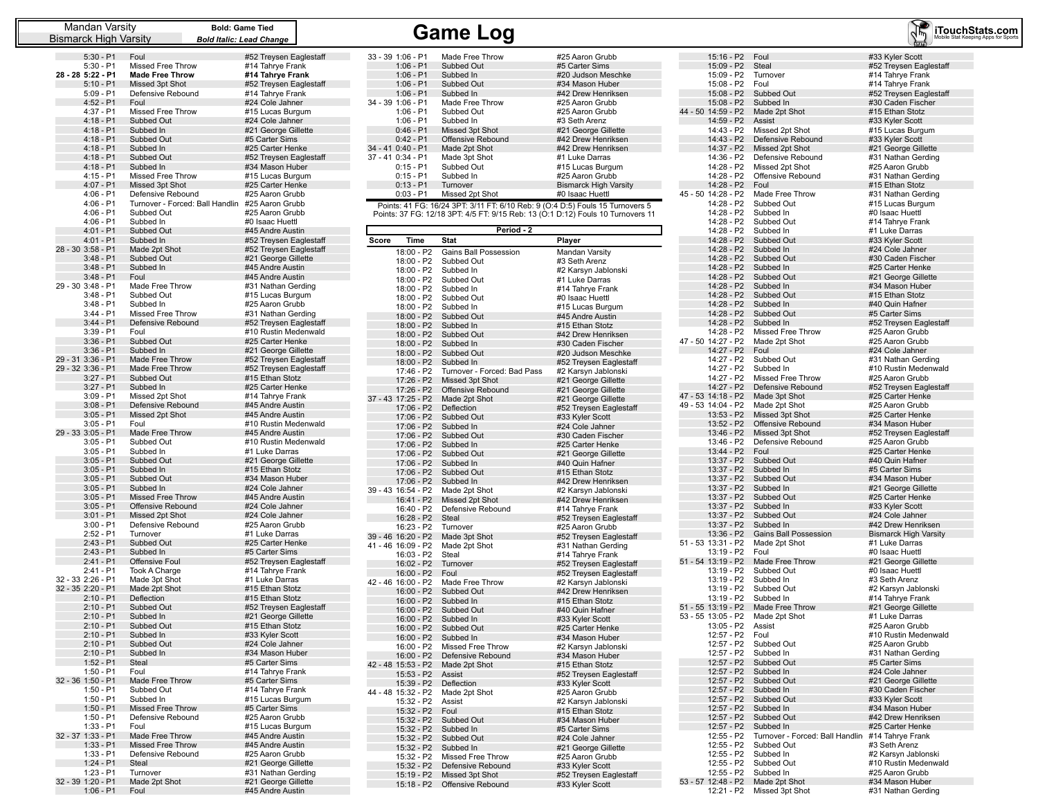| Mandan Varsity             |                                      | <b>Bold: Game Tied</b>                 |       |                                  | <b>Game Log</b>                                                                 |                                               |                                    |                                                  | iTouchStats.com                             |
|----------------------------|--------------------------------------|----------------------------------------|-------|----------------------------------|---------------------------------------------------------------------------------|-----------------------------------------------|------------------------------------|--------------------------------------------------|---------------------------------------------|
| Bismarck High Varsity      |                                      | <b>Bold Italic: Lead Change</b>        |       |                                  |                                                                                 |                                               |                                    |                                                  |                                             |
|                            |                                      |                                        |       |                                  |                                                                                 |                                               |                                    |                                                  |                                             |
| $5:30 - P1$                | Foul                                 | #52 Treysen Eaglestaff                 |       | 33 - 39 1:06 - P1                | Made Free Throw                                                                 | #25 Aaron Grubb                               | 15:16 - P2    Foul                 |                                                  | #33 Kyler Scott                             |
| $5:30 - P1$                | Missed Free Throw                    | #14 Tahrye Frank                       |       | $1:06 - P1$                      | Subbed Out                                                                      | #5 Carter Sims                                | 15:09 - P2                         | Steal                                            | #52 Treysen Eaglestaff                      |
| 28 - 28 5:22 - P1          | <b>Made Free Throw</b>               | #14 Tahrye Frank                       |       | $1:06 - P1$                      | Subbed In                                                                       | #20 Judson Meschke                            | 15:09 - P2                         | Turnover                                         | #14 Tahrye Frank                            |
| $5:10 - P1$<br>$5:09 - P1$ | Missed 3pt Shot<br>Defensive Rebound | #52 Treysen Eaglestaff                 |       | $1:06 - P1$<br>$1:06 - P1$       | Subbed Out<br>Subbed In                                                         | #34 Mason Huber<br>#42 Drew Henriksen         | 15:08 - P2                         | Foul<br>15:08 - P2 Subbed Out                    | #14 Tahrye Frank                            |
| $4:52 - P1$                | Foul                                 | #14 Tahrye Frank<br>#24 Cole Jahner    |       | 34 - 39 1:06 - P1                | Made Free Throw                                                                 | #25 Aaron Grubb                               | 15:08 - P2                         | Subbed In                                        | #52 Treysen Eaglestaff<br>#30 Caden Fischer |
| $4:37 - P1$                | Missed Free Throw                    | #15 Lucas Burgum                       |       | $1:06 - P1$                      | Subbed Out                                                                      | #25 Aaron Grubb                               | 44 - 50 14:59 - P2                 | Made 2pt Shot                                    | #15 Ethan Stotz                             |
| $4:18 - P1$                | Subbed Out                           | #24 Cole Jahner                        |       | $1:06 - P1$                      | Subbed In                                                                       | #3 Seth Arenz                                 | 14:59 - P2 Assist                  |                                                  | #33 Kyler Scott                             |
| $4:18 - P1$                | Subbed In                            | #21 George Gillette                    |       | $0:46 - P1$                      | Missed 3pt Shot                                                                 | #21 George Gillette                           | 14:43 - P2                         | Missed 2pt Shot                                  | #15 Lucas Burgum                            |
| $4:18 - P1$                | Subbed Out                           | #5 Carter Sims                         |       | $0:42 - P1$                      | Offensive Rebound                                                               | #42 Drew Henriksen                            | 14:43 - P2                         | Defensive Rebound                                | #33 Kyler Scott                             |
| $4:18 - P1$                | Subbed In                            | #25 Carter Henke                       |       | 34 - 41 0:40 - P1                | Made 2pt Shot                                                                   | #42 Drew Henriksen                            | 14:37 - P2                         | Missed 2pt Shot                                  | #21 George Gillette                         |
| $4:18 - P1$                | Subbed Out                           | #52 Treysen Eaglestaff                 |       | 37 - 41 0:34 - P1                | Made 3pt Shot                                                                   | #1 Luke Darras                                | 14:36 - P2                         | Defensive Rebound                                | #31 Nathan Gerding                          |
| $4:18 - P1$                | Subbed In                            | #34 Mason Huber                        |       | $0:15 - P1$                      | Subbed Out                                                                      | #15 Lucas Burgum                              | 14:28 - P2                         | Missed 2pt Shot                                  | #25 Aaron Grubb                             |
| $4:15 - P1$                | Missed Free Throw                    | #15 Lucas Burgum                       |       | $0:15 - P1$                      | Subbed In                                                                       | #25 Aaron Grubb                               | 14:28 - P2                         | Offensive Rebound                                | #31 Nathan Gerding                          |
| $4:07 - P1$                | Missed 3pt Shot                      | #25 Carter Henke                       |       | $0:13 - P1$                      | Turnover                                                                        | <b>Bismarck High Varsity</b>                  | 14:28 - P2                         | Foul                                             | #15 Ethan Stotz                             |
| $4:06 - P1$                | Defensive Rebound                    | #25 Aaron Grubb                        |       | $0:03 - P1$                      | Missed 2pt Shot                                                                 | #0 Isaac Huettl                               | 45 - 50 14:28 - P2                 | Made Free Throw                                  | #31 Nathan Gerding                          |
| $4:06 - P1$                | Turnover - Forced: Ball Handlin      | #25 Aaron Grubb                        |       |                                  | Points: 41 FG: 16/24 3PT: 3/11 FT: 6/10 Reb: 9 (O:4 D:5) Fouls 15 Turnovers 5   |                                               | 14:28 - P2                         | Subbed Out                                       | #15 Lucas Burgum                            |
| $4:06 - P1$                | Subbed Out                           | #25 Aaron Grubb                        |       |                                  | Points: 37 FG: 12/18 3PT: 4/5 FT: 9/15 Reb: 13 (0:1 D:12) Fouls 10 Turnovers 11 |                                               | 14:28 - P2                         | Subbed In                                        | #0 Isaac Huettl                             |
| $4:06 - P1$                | Subbed In                            | #0 Isaac Huettl                        |       |                                  |                                                                                 |                                               | 14:28 - P2                         | Subbed Out                                       | #14 Tahrye Frank                            |
| $4:01 - P1$                | Subbed Out                           | #45 Andre Austin                       |       |                                  | Period - 2                                                                      |                                               | 14:28 - P2                         | Subbed In                                        | #1 Luke Darras                              |
| $4:01 - P1$                | Subbed In                            | #52 Treysen Eaglestaff                 | Score | Time                             | <b>Stat</b>                                                                     | Player                                        | 14:28 - P2                         | Subbed Out                                       | #33 Kyler Scott                             |
| 28 - 30 3:58 - P1          | Made 2pt Shot                        | #52 Treysen Eaglestaff                 |       | 18:00 - P2                       | <b>Gains Ball Possession</b>                                                    | Mandan Varsity                                | 14:28 - P2                         | Subbed In                                        | #24 Cole Jahner                             |
| $3:48 - P1$                | Subbed Out                           | #21 George Gillette                    |       | 18:00 - P2                       | Subbed Out                                                                      | #3 Seth Arenz                                 | 14:28 - P2                         | Subbed Out                                       | #30 Caden Fischer                           |
| $3:48 - P1$                | Subbed In                            | #45 Andre Austin                       |       | 18:00 - P2                       | Subbed In                                                                       | #2 Karsyn Jablonski                           | 14:28 - P2                         | Subbed In                                        | #25 Carter Henke                            |
| $3:48 - P1$                | Foul                                 | #45 Andre Austin                       |       | 18:00 - P2                       | Subbed Out                                                                      | #1 Luke Darras                                | 14:28 - P2                         | Subbed Out                                       | #21 George Gillette                         |
| 29 - 30 3:48 - P1          | Made Free Throw                      | #31 Nathan Gerding                     |       | 18:00 - P2                       | Subbed In                                                                       | #14 Tahrye Frank                              | 14:28 - P2                         | Subbed In                                        | #34 Mason Huber                             |
| $3:48 - P1$                | Subbed Out                           | #15 Lucas Burgum                       |       | 18:00 - P2                       | Subbed Out                                                                      | #0 Isaac Huettl                               | 14:28 - P2                         | Subbed Out                                       | #15 Ethan Stotz                             |
| $3:48 - P1$                | Subbed In                            | #25 Aaron Grubb                        |       | 18:00 - P2                       | Subbed In                                                                       | #15 Lucas Burgum                              | 14:28 - P2                         | Subbed In                                        | #40 Quin Hafner                             |
| $3:44 - P1$                | Missed Free Throw                    | #31 Nathan Gerding                     |       | 18:00 - P2                       | Subbed Out                                                                      | #45 Andre Austin                              | 14:28 - P2                         | Subbed Out                                       | #5 Carter Sims                              |
| $3:44 - P1$                | Defensive Rebound                    | #52 Treysen Eaglestaff                 |       | 18:00 - P2                       | Subbed In                                                                       | #15 Ethan Stotz                               | 14:28 - P2                         | Subbed In                                        | #52 Treysen Eaglestaff                      |
| $3:39 - P1$                | Foul                                 | #10 Rustin Medenwald                   |       | 18:00 - P2                       | Subbed Out                                                                      | #42 Drew Henriksen                            | 14:28 - P2                         | Missed Free Throw                                | #25 Aaron Grubb                             |
| $3:36 - P1$                | Subbed Out                           | #25 Carter Henke                       |       | 18:00 - P2                       | Subbed In                                                                       | #30 Caden Fischer                             | 47 - 50 14:27 - P2                 | Made 2pt Shot                                    | #25 Aaron Grubb                             |
| $3:36 - P1$                | Subbed In                            | #21 George Gillette                    |       | 18:00 - P2                       | Subbed Out                                                                      | #20 Judson Meschke                            | 14:27 - P2                         | Foul                                             | #24 Cole Jahner                             |
| 29 - 31 3:36 - P1          | Made Free Throw                      | #52 Treysen Eaglestaff                 |       | 18:00 - P2                       | Subbed In                                                                       | #52 Treysen Eaglestaff                        | 14:27 - P2                         | Subbed Out                                       | #31 Nathan Gerding                          |
| 29 - 32 3:36 - P1          | Made Free Throw                      | #52 Treysen Eaglestaff                 |       | 17:46 - P2                       | Turnover - Forced: Bad Pass                                                     | #2 Karsyn Jablonski                           | 14:27 - P2                         | Subbed In                                        | #10 Rustin Medenwald                        |
| $3:27 - P1$                | Subbed Out                           | #15 Ethan Stotz                        |       | 17:26 - P2                       | Missed 3pt Shot                                                                 | #21 George Gillette                           | 14:27 - P2                         | Missed Free Throw                                | #25 Aaron Grubb                             |
| $3:27 - P1$                | Subbed In                            | #25 Carter Henke                       |       | 17:26 - P2                       | Offensive Rebound                                                               | #21 George Gillette                           | 14:27 - P2                         | Defensive Rebound                                | #52 Treysen Eaglestaff                      |
| $3:09 - P1$                | Missed 2pt Shot                      | #14 Tahrye Frank                       |       | 37 - 43 17:25 - P2               | Made 2pt Shot                                                                   | #21 George Gillette                           | 47 - 53 14:18 - P2                 | Made 3pt Shot                                    | #25 Carter Henke                            |
| $3:08 - P1$                | Defensive Rebound                    | #45 Andre Austin                       |       | 17:06 - P2                       | Deflection                                                                      | #52 Treysen Eaglestaff                        | 49 - 53 14:04 - P2                 | Made 2pt Shot                                    | #25 Aaron Grubb                             |
| $3:05 - P1$                | Missed 2pt Shot                      | #45 Andre Austin                       |       | 17:06 - P2                       | Subbed Out                                                                      | #33 Kyler Scott                               | $13:53 - P2$                       | Missed 3pt Shot                                  | #25 Carter Henke                            |
| $3:05 - P1$                | Foul                                 | #10 Rustin Medenwald                   |       | 17:06 - P2                       | Subbed In                                                                       | #24 Cole Jahner                               |                                    | 13:52 - P2 Offensive Rebound                     | #34 Mason Huber                             |
| 29 - 33 3:05 - P1          | Made Free Throw                      | #45 Andre Austin                       |       | 17:06 - P2                       | Subbed Out                                                                      | #30 Caden Fischer                             | 13:46 - P2                         | Missed 3pt Shot                                  | #52 Treysen Eaglestaff                      |
| $3:05 - P1$                | Subbed Out                           | #10 Rustin Medenwald                   |       | 17:06 - P2                       | Subbed In                                                                       | #25 Carter Henke                              |                                    | 13:46 - P2 Defensive Rebound                     | #25 Aaron Grubb                             |
| $3:05 - P1$                | Subbed In                            | #1 Luke Darras                         |       | 17:06 - P2                       | Subbed Out                                                                      | #21 George Gillette                           | 13:44 - P2    Foul                 |                                                  | #25 Carter Henke                            |
| $3:05 - P1$<br>$3:05 - P1$ | Subbed Out                           | #21 George Gillette<br>#15 Ethan Stotz |       | 17:06 - P2                       | Subbed In                                                                       | #40 Quin Hafner                               |                                    | 13:37 - P2 Subbed Out                            | #40 Quin Hafner                             |
| $3:05 - P1$                | Subbed In<br>Subbed Out              | #34 Mason Huber                        |       | 17:06 - P2                       | Subbed Out                                                                      | #15 Ethan Stotz                               | 13:37 - P2                         | Subbed In<br>13:37 - P2 Subbed Out               | #5 Carter Sims<br>#34 Mason Huber           |
| $3:05 - P1$                | Subbed In                            | #24 Cole Jahner                        |       | 17:06 - P2                       | Subbed In                                                                       | #42 Drew Henriksen                            |                                    | 13:37 - P2 Subbed In                             | #21 George Gillette                         |
| $3:05 - P1$                | Missed Free Throw                    | #45 Andre Austin                       |       | 39 - 43 16:54 - P2               | Made 2pt Shot                                                                   | #2 Karsyn Jablonski                           | 13:37 - P2                         | Subbed Out                                       | #25 Carter Henke                            |
| $3:05 - P1$                | Offensive Rebound                    | #24 Cole Jahner                        |       | 16:41 - P2                       | Missed 2pt Shot                                                                 | #42 Drew Henriksen                            | 13:37 - P2                         | Subbed In                                        | #33 Kyler Scott                             |
| $3:01 - P1$                | Missed 2pt Shot                      | #24 Cole Jahner                        |       | 16:40 - P2                       | Defensive Rebound                                                               | #14 Tahrye Frank                              | 13:37 - P2                         | Subbed Out                                       | #24 Cole Jahner                             |
| $3:00 - P1$                | Defensive Rebound                    | #25 Aaron Grubb                        |       | 16:28 - P2                       | Steal                                                                           | #52 Treysen Eaglestaff                        | 13:37 - P2                         | Subbed In                                        | #42 Drew Henriksen                          |
| $2:52 - P1$                | Turnover                             | #1 Luke Darras                         |       | 16:23 - P2                       | Turnover                                                                        | #25 Aaron Grubb                               | $13:36 - P2$                       | <b>Gains Ball Possession</b>                     | <b>Bismarck High Varsity</b>                |
| $2:43 - P1$                | Subbed Out                           | #25 Carter Henke                       |       | 39 - 46 16:20 - P2               | Made 3pt Shot                                                                   | #52 Treysen Eaglestaff<br>#31 Nathan Gerding  | 51 - 53 13:31 - P2                 | Made 2pt Shot                                    | #1 Luke Darras                              |
| $2:43 - P1$                | Subbed In                            | #5 Carter Sims                         |       | 41 - 46 16:09 - P2               | Made 2pt Shot                                                                   |                                               | 13:19 - P2                         | Foul                                             | #0 Isaac Huettl                             |
| $2:41 - P1$                | Offensive Foul                       | #52 Treysen Eaglestaff                 |       | 16:03 - P2<br>16:02 - P2         | Steal<br>Turnover                                                               | #14 Tahrye Frank<br>#52 Treysen Eaglestaff    | 51 - 54 13:19 - P2                 | Made Free Throw                                  | #21 George Gillette                         |
| $2:41 - P1$                | <b>Took A Charge</b>                 | #14 Tahrye Frank                       |       |                                  |                                                                                 |                                               | 13:19 - P2                         | Subbed Out                                       | #0 Isaac Huettl                             |
| 32 - 33 2:26 - P1          | Made 3pt Shot                        | #1 Luke Darras                         |       | 16:00 - P2<br>42 - 46 16:00 - P2 | Foul<br>Made Free Throw                                                         | #52 Treysen Eaglestaff<br>#2 Karsyn Jablonski | 13:19 - P2                         | Subbed In                                        | #3 Seth Arenz                               |
| 32 - 35 2:20 - P1          | Made 2pt Shot                        | #15 Ethan Stotz                        |       | 16:00 - P2                       | Subbed Out                                                                      | #42 Drew Henriksen                            | 13:19 - P2                         | Subbed Out                                       | #2 Karsyn Jablonski                         |
| $2:10 - P1$                | Deflection                           | #15 Ethan Stotz                        |       |                                  | 16:00 - P2 Subbed In                                                            | #15 Ethan Stotz                               | 13:19 - P2                         | Subbed In                                        | #14 Tahrye Frank                            |
| $2:10 - P1$                | Subbed Out                           | #52 Treysen Eaglestaff                 |       |                                  | 16:00 - P2 Subbed Out                                                           | #40 Quin Hafner                               | 51 - 55 13:19 - P2 Made Free Throw |                                                  | #21 George Gillette                         |
| $2:10 - P1$                | Subbed In                            | #21 George Gillette                    |       |                                  | 16:00 - P2 Subbed In                                                            | #33 Kyler Scott                               | 53 - 55 13:05 - P2 Made 2pt Shot   |                                                  | #1 Luke Darras                              |
| $2:10 - P1$                | Subbed Out                           | #15 Ethan Stotz                        |       |                                  | 16:00 - P2 Subbed Out                                                           | #25 Carter Henke                              | 13:05 - P2 Assist                  |                                                  | #25 Aaron Grubb                             |
| $2:10 - P1$                | Subbed In                            | #33 Kyler Scott                        |       |                                  | 16:00 - P2 Subbed In                                                            | #34 Mason Huber                               | 12:57 - P2 Foul                    |                                                  | #10 Rustin Medenwald                        |
| $2:10 - P1$                | Subbed Out                           | #24 Cole Jahner                        |       |                                  | 16:00 - P2 Missed Free Throw                                                    | #2 Karsyn Jablonski                           |                                    | 12:57 - P2 Subbed Out                            | #25 Aaron Grubb                             |
| $2:10 - P1$                | Subbed In                            | #34 Mason Huber                        |       |                                  | 16:00 - P2 Defensive Rebound                                                    | #34 Mason Huber                               | 12:57 - P2                         | Subbed In                                        | #31 Nathan Gerding                          |
| $1:52 - P1$                | Steal                                | #5 Carter Sims                         |       |                                  | 42 - 48 15:53 - P2 Made 2pt Shot                                                | #15 Ethan Stotz                               | 12:57 - P2                         | Subbed Out                                       | #5 Carter Sims                              |
| $1:50 - P1$                | Foul                                 | #14 Tahrye Frank                       |       | 15:53 - P2 Assist                |                                                                                 | #52 Treysen Eaglestaff                        |                                    | 12:57 - P2 Subbed In                             | #24 Cole Jahner                             |
| 32 - 36 1:50 - P1          | Made Free Throw                      | #5 Carter Sims                         |       | 15:39 - P2 Deflection            |                                                                                 | #33 Kyler Scott                               |                                    | 12:57 - P2 Subbed Out                            | #21 George Gillette                         |
| $1:50 - P1$                | Subbed Out                           | #14 Tahrye Frank                       |       |                                  | 44 - 48 15:32 - P2 Made 2pt Shot                                                | #25 Aaron Grubb                               | 12:57 - P2                         | Subbed In                                        | #30 Caden Fischer                           |
| $1:50 - P1$                | Subbed In                            | #15 Lucas Burgum                       |       | 15:32 - P2 Assist                |                                                                                 | #2 Karsyn Jablonski                           |                                    | 12:57 - P2 Subbed Out                            | #33 Kvler Scott                             |
| $1:50 - P1$                | Missed Free Throw                    | #5 Carter Sims                         |       | 15:32 - P2    Foul               |                                                                                 | #15 Ethan Stotz                               |                                    | 12:57 - P2 Subbed In                             | #34 Mason Huber                             |
| $1:50 - P1$                | Defensive Rebound                    | #25 Aaron Grubb                        |       |                                  | 15:32 - P2 Subbed Out                                                           | #34 Mason Huber                               |                                    | 12:57 - P2 Subbed Out                            | #42 Drew Henriksen                          |
| $1:33 - P1$                | Foul                                 | #15 Lucas Burgum                       |       |                                  | 15:32 - P2 Subbed In                                                            | #5 Carter Sims                                |                                    | 12:57 - P2 Subbed In                             | #25 Carter Henke                            |
| 32 - 37 1:33 - P1          | Made Free Throw                      | #45 Andre Austin                       |       |                                  | 15:32 - P2 Subbed Out                                                           | #24 Cole Jahner                               | $12:55 - P2$                       | Turnover - Forced: Ball Handlin #14 Tahrye Frank |                                             |
| $1:33 - P1$                | <b>Missed Free Throw</b>             | #45 Andre Austin                       |       |                                  | 15:32 - P2 Subbed In                                                            | #21 George Gillette                           | 12:55 - P2                         | Subbed Out                                       | #3 Seth Arenz                               |
| $1:33 - P1$                | Defensive Rebound                    | #25 Aaron Grubb                        |       |                                  | 15:32 - P2 Missed Free Throw                                                    | #25 Aaron Grubb                               |                                    | 12:55 - P2 Subbed In                             | #2 Karsyn Jablonski                         |
| $1:24 - P1$                | Steal                                | #21 George Gillette                    |       | 15:32 - P2                       | Defensive Rebound                                                               | #33 Kyler Scott                               |                                    | 12:55 - P2 Subbed Out                            | #10 Rustin Medenwald                        |
| $1:23 - P1$                | Turnover                             | #31 Nathan Gerding                     |       |                                  | 15:19 - P2 Missed 3pt Shot                                                      | #52 Treysen Eaglestaff                        |                                    | 12:55 - P2 Subbed In                             | #25 Aaron Grubb                             |
| 32 - 39 1:20 - P1          | Made 2pt Shot                        | #21 George Gillette                    |       |                                  | 15:18 - P2 Offensive Rebound                                                    | #33 Kyler Scott                               | 53 - 57 12:48 - P2 Made 2pt Shot   |                                                  | #34 Mason Huber                             |
| $1:06 - P1$                | Foul                                 | #45 Andre Austin                       |       |                                  |                                                                                 |                                               |                                    | 12:21 - P2 Missed 3pt Shot                       | #31 Nathan Gerding                          |

### *Bold Italic: Lead Change* eysen Eaglestaff hrye Frank **28 - 28 5:22 - P1 Made Free Throw #14 Tahrye Frank** eysen Eaglestaff hrye Frank ble Jahner 4:37 - P1 Missed Free Throw #15 Lucas Burgum ble Jahner eorge Gillette ter Sims arter Henke eysen Eaglestaff ason Huber 4:15 - P1 Missed Free Throw #15 Lucas Burgum arter Henke aron Grubb  $aron Grubb$ aron Grubb ac Huettl  $\blacksquare$ dre Austin eysen Eaglestaff eysen Eaglestaff eorge Gillette dre Austin ndre Austin athan Gerding cas Burgum aron Grubb athan Gerding eysen Eaglestaff ..<br>ustin Medenwald arter Henke eorge Gillette eysen Eaglestaff eysen Eaglestaff nan Stotz arter Henke hrve Frank dre Austin dre Austin ustin Medenwald ndre Austin ustin Medenwald e Darras eorge Gillette han Stotz ason Huber **ble Jahner** dre Austin ble Jahner ble Jahner aron Grubb e Darras arter Henke ter Sims eysen Eaglestaff  $\overline{\text{4}}$  Frank ke Darras han Stotz han Stotz eysen Eaglestaff eorge Gillette han Stotz ler Scott ble Jahner ason Huber rter Sims ahrve Frank ter Sims hrye Frank 1:50 - P1 Subbed In #15 Lucas Burgum ter Sims aron Grubb **cas Burgum** dre Austin 1dre Austin  $\aron$  Grubb eorge Gillette athan Gerding

### 33 - 39 1:06 - P1 Made Free Throw #25 Aaron Grubb 1:06 - P1 Subbed Out #5 Carter Sims<br>1:06 - P1 Subbed In #20 Judson Mes 1:06 - P1 Subbed In #20 Judson Meschke<br>1:06 - P1 Subbed Out #34 Mason Huber 1:06 - P1 Subbed Out #34 Mason Huber<br>1:06 - P1 Subbed In #42 Drew Henriks 1:06 - P1 Subbed In #42 Drew Henriksen<br>34 - 39 1:06 - P1 Made Free Throw #25 Aaron Grubb Made Free Throw 1:06 - P1 Subbed Out #25 Aaron Grubb<br>1:06 - P1 Subbed In #3 Seth Arenz 1:06 - P1 Subbed In #3 Seth Arenz<br>0:46 - P1 Missed 3pt Shot #21 George Gil 0:46 - P1 Missed 3pt Shot #21 George Gillette<br>0:42 - P1 Offensive Rebound #42 Drew Henriksen 0:42 - P1 Offensive Rebound #42 Drew Henriksen<br>34 - 41 0:40 - P1 Made 2pt Shot #42 Drew Henriksen Made 2pt Shot #42 Drew Henriksen<br>Made 3pt Shot #1 Luke Darras 37 - 41 0:34 - P1 Made 3pt Shot = 0:15 - P1 Subbed Out 0:15 - P1 Subbed Out #15 Lucas Burgum<br>0:15 - P1 Subbed In #25 Aaron Grubb 0:15 - P1 Subbed In #25 Aaron Grubb<br>0:13 - P1 Turnover Bismarck High Va **Bismarck High Varsity** 0:03 - P1 Missed 2pt Shot #0 Isaac Huettl Points: 41 FG: 16/24 3PT: 3/11 FT: 6/10 Reb: 9 (O:4 D:5) Fouls 15 Turnovers 5

| Points: 37 FG: 12/18 3PT: 4/5 FT: 9/15 Reb: 13 (0:1 D:12) Fouls 10 Turnovers 11 |
|---------------------------------------------------------------------------------|
| - - - -                                                                         |

|       |                                  | Period - 2                  |                                           |
|-------|----------------------------------|-----------------------------|-------------------------------------------|
| Score | Time                             | <b>Stat</b>                 | Player                                    |
|       | 18:00 - P2                       | Gains Ball Possession       | Mandan Varsity                            |
|       | 18:00 - P2                       | Subbed Out                  | #3 Seth Arenz                             |
|       | 18:00 - P2                       | Subbed In                   | #2 Karsyn Jablonski                       |
|       | 18:00 - P2                       | Subbed Out                  | #1 Luke Darras                            |
|       | 18:00 - P2                       | Subbed In                   | #14 Tahrye Frank                          |
|       | 18:00 - P2                       | Subbed Out                  | #0 Isaac Huettl                           |
|       | 18:00 - P2                       | Subbed In                   | #15 Lucas Burgum                          |
|       | 18:00 - P2                       | Subbed Out                  | #45 Andre Austin                          |
|       | $18:00 - P2$                     | Subbed In                   | #15 Ethan Stotz                           |
|       | 18:00 - P2                       | Subbed Out                  | #42 Drew Henriksen                        |
|       | 18:00 - P2                       | Subbed In                   | #30 Caden Fischer                         |
|       | 18:00 - P2                       | Subbed Out                  | #20 Judson Meschke                        |
|       | 18:00 - P2                       | Subbed In                   | #52 Treysen Eaglestaff                    |
|       | 17:46 - P2                       | Turnover - Forced: Bad Pass | #2 Karsyn Jablonski                       |
|       | $17:26 - P2$                     | Missed 3pt Shot             | #21 George Gillette                       |
|       | 17:26 - P2                       | Offensive Rebound           | #21 George Gillette                       |
|       | 37 - 43 17:25 - P2               | Made 2pt Shot               | #21 George Gillette                       |
|       | 17:06 - P2                       | Deflection                  | #52 Treysen Eaglestaff                    |
|       | 17:06 - P2                       | Subbed Out                  | #33 Kyler Scott                           |
|       | 17:06 - P2                       | Subbed In                   | #24 Cole Jahner                           |
|       | $17:06 - P2$                     | Subbed Out                  | #30 Caden Fischer                         |
|       | 17:06 - P2                       | Subbed In                   | #25 Carter Henke                          |
|       | 17:06 - P2                       | Subbed Out                  | #21 George Gillette                       |
|       | 17:06 - P2                       | Subbed In                   | #40 Quin Hafner                           |
|       | 17:06 - P2                       | Subbed Out                  | #15 Ethan Stotz                           |
|       | 17:06 - P2<br>39 - 43 16:54 - P2 | Subbed In<br>Made 2pt Shot  | #42 Drew Henriksen<br>#2 Karsvn Jablonski |
|       | 16:41 - P2                       | Missed 2pt Shot             | #42 Drew Henriksen                        |
|       | 16:40 - P2                       | Defensive Rebound           | #14 Tahrye Frank                          |
|       | 16:28 - P2                       | Steal                       | #52 Treysen Eaglestaff                    |
|       | 16:23 - P2                       | Turnover                    | #25 Aaron Grubb                           |
|       | 39 - 46 16:20 - P2               | Made 3pt Shot               | #52 Treysen Eaglestaff                    |
|       | 41 - 46 16:09 - P2               | Made 2pt Shot               | #31 Nathan Gerding                        |
|       | 16:03 - P2                       | Steal                       | #14 Tahrye Frank                          |
|       | 16:02 - P2                       | Turnover                    | #52 Treysen Eaglestaff                    |
|       | 16:00 - P2                       | Foul                        | #52 Treysen Eaglestaff                    |
|       | 42 - 46 16:00 - P2               | Made Free Throw             | #2 Karsyn Jablonski                       |
|       | 16:00 - P2                       | Subbed Out                  | #42 Drew Henriksen                        |
|       | $16:00 - P2$                     | Subbed In                   | #15 Ethan Stotz                           |
|       | $16:00 - P2$                     | Subbed Out                  | #40 Quin Hafner                           |
|       | 16:00 - P2                       | Subbed In                   | #33 Kyler Scott                           |
|       | $16:00 - P2$                     | Subbed Out                  | #25 Carter Henke                          |
|       | 16:00 - P2                       | Subbed In                   | #34 Mason Huber                           |
|       | 16:00 - P2                       | Missed Free Throw           | #2 Karsyn Jablonski                       |
|       | 16:00 - P2                       | Defensive Rebound           | #34 Mason Huber                           |
|       | 42 - 48 15:53 - P2               | Made 2pt Shot               | #15 Ethan Stotz                           |
|       | 15:53 - P2                       | Assist                      | #52 Treysen Eaglestaff                    |
|       | 15:39 - P2                       | Deflection                  | #33 Kyler Scott                           |
|       | 44 - 48 15:32 - P2               | Made 2pt Shot               | #25 Aaron Grubb                           |
|       | 15:32 - P2                       | Assist                      | #2 Karsyn Jablonski                       |
|       | 15:32 - P2<br>$15:32 - P2$       | Foul                        | #15 Ethan Stotz                           |
|       |                                  | Subbed Out                  | #34 Mason Huber                           |
|       | 15:32 - P2<br>$15:32 - P2$       | Subbed In<br>Subbed Out     | #5 Carter Sims<br>#24 Cole Jahner         |
|       | 15:32 - P2                       | Subbed In                   | #21 George Gillette                       |
|       | 15:32 - P2                       | <b>Missed Free Throw</b>    | #25 Aaron Grubb                           |
|       | 15:32 - P2                       | Defensive Rebound           | #33 Kyler Scott                           |
|       | 15:19 - P2                       | Missed 3pt Shot             | #52 Treysen Eaglestaff                    |
|       | $15:18 - P2$                     | Offensive Rebound           | #33 Kyler Scott                           |
|       |                                  |                             |                                           |

|                    |                                 | <b>STATE</b>                 |
|--------------------|---------------------------------|------------------------------|
| $15:16 - P2$       | Foul                            | #33 Kyler Scott              |
| 15:09 - P2         | Steal                           | #52 Treysen Eaglestaff       |
| 15:09 - P2         | Turnover                        | #14 Tahrye Frank             |
|                    | Foul                            |                              |
| 15:08 - P2         |                                 | #14 Tahrye Frank             |
| 15:08 - P2         | Subbed Out                      | #52 Treysen Eaglestaff       |
| 15:08 - P2         | Subbed In                       | #30 Caden Fischer            |
| 44 - 50 14:59 - P2 | Made 2pt Shot                   | #15 Ethan Stotz              |
| 14:59 - P2         | Assist                          | #33 Kyler Scott              |
| 14:43 - P2         | Missed 2pt Shot                 | #15 Lucas Burgum             |
| 14:43 - P2         | Defensive Rebound               | #33 Kyler Scott              |
| 14:37 - P2         | Missed 2pt Shot                 | #21 George Gillette          |
| 14:36 - P2         | Defensive Rebound               | #31 Nathan Gerding           |
| 14:28 - P2         | Missed 2pt Shot                 | #25 Aaron Grubb              |
| 14:28 - P2         | Offensive Rebound               | #31 Nathan Gerding           |
| 14:28 - P2         | Foul                            | #15 Ethan Stotz              |
| 45 - 50 14:28 - P2 | Made Free Throw                 | #31 Nathan Gerding           |
| 14:28 - P2         |                                 |                              |
|                    | Subbed Out                      | #15 Lucas Burgum             |
| 14:28 - P2         | Subbed In                       | #0 Isaac Huettl              |
| 14:28 - P2         | Subbed Out                      | #14 Tahrye Frank             |
| 14:28 - P2         | Subbed In                       | #1 Luke Darras               |
|                    | 14:28 - P2 Subbed Out           | #33 Kyler Scott              |
| 14:28 - P2         | Subbed In                       | #24 Cole Jahner              |
| 14:28 - P2         | Subbed Out                      | #30 Caden Fischer            |
| 14:28 - P2         | Subbed In                       | #25 Carter Henke             |
| 14:28 - P2         | Subbed Out                      | #21 George Gillette          |
| 14:28 - P2         | Subbed In                       | #34 Mason Huber              |
| 14:28 - P2         | Subbed Out                      | #15 Ethan Stotz              |
| 14:28 - P2         | Subbed In                       | #40 Quin Hafner              |
| $14:28 - P2$       |                                 |                              |
|                    | Subbed Out                      | #5 Carter Sims               |
| 14:28 - P2         | Subbed In                       | #52 Treysen Eaglestaff       |
| 14:28 - P2         | Missed Free Throw               | #25 Aaron Grubb              |
| 47 - 50 14:27 - P2 | Made 2pt Shot                   | #25 Aaron Grubb              |
| 14:27 - P2         | Foul                            | #24 Cole Jahner              |
| 14:27 - P2         | Subbed Out                      | #31 Nathan Gerding           |
| 14:27 - P2         | Subbed In                       | #10 Rustin Medenwald         |
| 14:27 - P2         | <b>Missed Free Throw</b>        | #25 Aaron Grubb              |
| 14:27 - P2         | Defensive Rebound               | #52 Treysen Eaglestaff       |
| 47 - 53 14:18 - P2 | Made 3pt Shot                   | #25 Carter Henke             |
| 49 - 53 14:04 - P2 | Made 2pt Shot                   | #25 Aaron Grubb              |
| $13:53 - P2$       | Missed 3pt Shot                 | #25 Carter Henke             |
| $13:52 - P2$       | Offensive Rebound               | #34 Mason Huber              |
|                    |                                 |                              |
| 13:46 - P2         | Missed 3pt Shot                 | #52 Treysen Eaglestaff       |
| 13:46 - P2         | Defensive Rebound               | #25 Aaron Grubb              |
| 13:44 - P2         | Foul                            | #25 Carter Henke             |
| 13:37 - P2         | Subbed Out                      | #40 Quin Hafner              |
| 13:37 - P2         | Subbed In                       | #5 Carter Sims               |
| 13:37 - P2         | Subbed Out                      | #34 Mason Huber              |
| 13:37 - P2         | Subbed In                       | #21 George Gillette          |
| 13:37 - P2         | Subbed Out                      | #25 Carter Henke             |
| 13:37 - P2         | Subbed In                       | #33 Kyler Scott              |
| 13:37 - P2         | Subbed Out                      | #24 Cole Jahner              |
| 13:37 - P2         | Subbed In                       | #42 Drew Henriksen           |
| 13:36 - P2         | <b>Gains Ball Possession</b>    | <b>Bismarck High Varsity</b> |
| 51 - 53 13:31 - P2 | Made 2pt Shot                   | #1 Luke Darras               |
| 13:19 - P2         | Foul                            | #0 Isaac Huettl              |
| 51 - 54 13:19 - P2 | Made Free Throw                 | #21 George Gillette          |
| $13:19 - P2$       | Subbed Out                      | #0 Isaac Huettl              |
| 13:19 - P2         |                                 |                              |
|                    | Subbed In                       | #3 Seth Arenz                |
| 13:19 - P2         | Subbed Out                      | #2 Karsyn Jablonski          |
| 13:19 - P2         | Subbed In                       | #14 Tahrye Frank             |
| 51 - 55 13:19 - P2 | Made Free Throw                 | #21 George Gillette          |
| 53 - 55 13:05 - P2 | Made 2pt Shot                   | #1 Luke Darras               |
| 13:05 - P2         | Assist                          | #25 Aaron Grubb              |
| 12:57 - P2         | Foul                            | #10 Rustin Medenwald         |
| 12:57 - P2         | Subbed Out                      | #25 Aaron Grubb              |
| 12:57 - P2         | Subbed In                       | #31 Nathan Gerding           |
| 12:57 - P2         | Subbed Out                      | #5 Carter Sims               |
| $12:57 - P2$       | Subbed In                       | #24 Cole Jahner              |
| 12:57 - P2         | Subbed Out                      | #21 George Gillette          |
| 12:57 - P2         | Subbed In                       | #30 Caden Fischer            |
| 12:57 - P2         | Subbed Out                      | #33 Kyler Scott              |
|                    | Subbed In                       | #34 Mason Huber              |
| 12:57 - P2         |                                 |                              |
| 12:57 - P2         | Subbed Out                      | #42 Drew Henriksen           |
| $12:57 - P2$       | Subbed In                       | #25 Carter Henke             |
| 12:55 - P2         | Turnover - Forced: Ball Handlin | #14 Tahrye Frank             |
| 12:55 - P2         | Subbed Out                      | #3 Seth Arenz                |
| 12:55 - P2         | Subbed In                       | #2 Karsyn Jablonski          |
| 12:55 - P2         | Subbed Out                      | #10 Rustin Medenwald         |
| 12:55 - P2         | Subbed In                       | #25 Aaron Grubb              |
| 53 - 57 12:48 - P2 | Made 2pt Shot                   | #34 Mason Huber              |
|                    |                                 | #31 Nathan Gerding           |

**iTouchStats.com**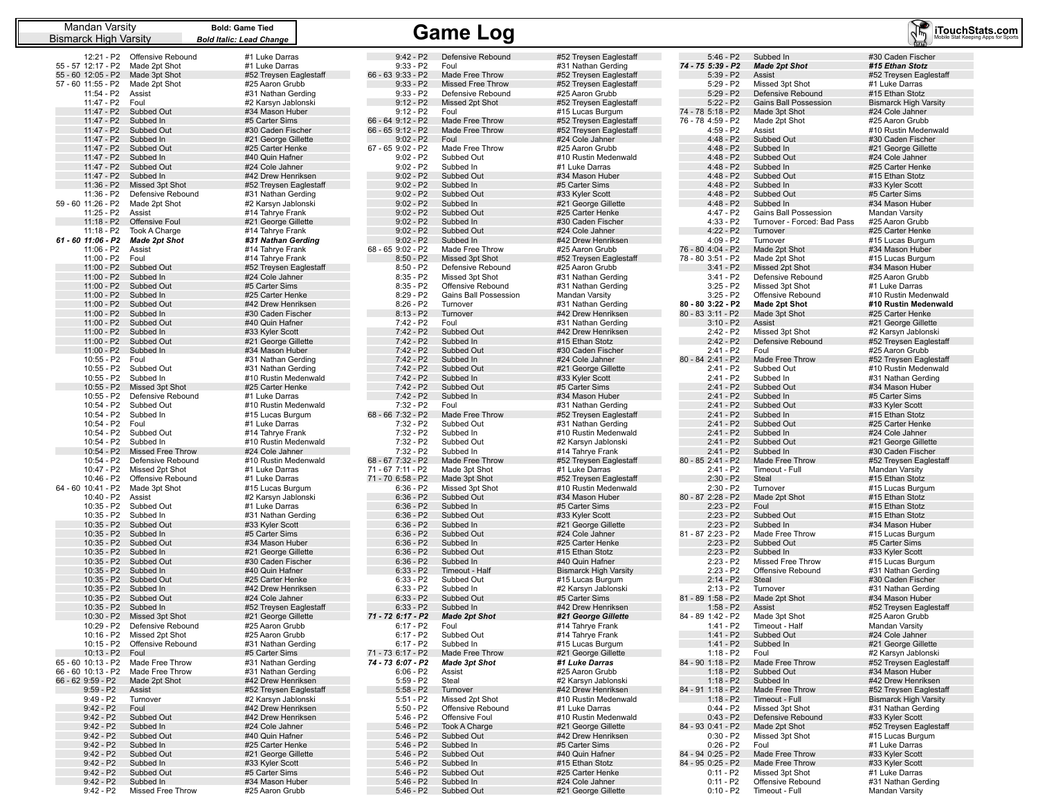| Mandan Varsity<br>Bismarck High Varsity                  |                                      | <b>Bold: Game Tied</b><br><b>Bold Italic: Lead Change</b> |                                        | <b>Game Log</b>                               |                                                  |                                        |                                      | iTouchStats.com                               |
|----------------------------------------------------------|--------------------------------------|-----------------------------------------------------------|----------------------------------------|-----------------------------------------------|--------------------------------------------------|----------------------------------------|--------------------------------------|-----------------------------------------------|
|                                                          | 12:21 - P2 Offensive Rebound         | #1 Luke Darras                                            | $9:42 - P2$                            | Defensive Rebound                             | #52 Trevsen Eaglestaff                           | $5:46 - P2$                            | Subbed In                            | #30 Caden Fischer                             |
| 55 - 57 12:17 - P2                                       | Made 2pt Shot                        | #1 Luke Darras                                            | $9:33 - P2$                            | Foul                                          | #31 Nathan Gerding                               | 74 - 75 5:39 - P2                      | <b>Made 2pt Shot</b>                 | #15 Ethan Stotz                               |
| 55 - 60 12:05 - P2 Made 3pt Shot                         | Made 2pt Shot                        | #52 Treysen Eaglestaff<br>#25 Aaron Grubb                 | 66 - 63 9:33 - P2<br>$9:33 - P2$       | Made Free Throw                               | #52 Treysen Eaglestaff<br>#52 Treysen Eaglestaff | $5:39 - P2$<br>$5:29 - P2$             | Assist                               | #52 Treysen Eaglestaff<br>#1 Luke Darras      |
| 57 - 60 11:55 - P2<br>11:54 - P2                         | Assist                               | #31 Nathan Gerding                                        | $9:33 - P2$                            | <b>Missed Free Throw</b><br>Defensive Rebound | #25 Aaron Grubb                                  | $5:29 - P2$                            | Missed 3pt Shot<br>Defensive Rebound | #15 Ethan Stotz                               |
| 11:47 - P2                                               | Foul                                 | #2 Karsyn Jablonski                                       | $9:12 - P2$                            | Missed 2pt Shot                               | #52 Treysen Eaglestaff                           | $5:22 - P2$                            | <b>Gains Ball Possession</b>         | <b>Bismarck High Varsity</b>                  |
| 11:47 - P2                                               | Subbed Out                           | #34 Mason Huber                                           | $9:12 - P2$                            | Foul                                          | #15 Lucas Burgum                                 | 74 - 78 5:18 - P2                      | Made 3pt Shot                        | #24 Cole Jahner                               |
| 11:47 - P2                                               | Subbed In                            | #5 Carter Sims                                            | 66 - 64 9:12 - P2                      | Made Free Throw                               | #52 Treysen Eaglestaff                           | 76 - 78 4:59 - P2                      | Made 2pt Shot                        | #25 Aaron Grubb                               |
|                                                          | 11:47 - P2 Subbed Out                | #30 Caden Fischer                                         | 66 - 65 9:12 - P2                      | Made Free Throw                               | #52 Treysen Eaglestaff                           | $4:59 - P2$                            | Assist                               | #10 Rustin Medenwald                          |
| 11:47 - P2                                               | Subbed In                            | #21 George Gillette                                       | $9:02 - P2$                            | Foul                                          | #24 Cole Jahner                                  | $4:48 - P2$                            | Subbed Out                           | #30 Caden Fischer                             |
|                                                          | 11:47 - P2 Subbed Out                | #25 Carter Henke                                          | 67 - 65 9:02 - P2                      | Made Free Throw                               | #25 Aaron Grubb                                  | $4:48 - P2$                            | Subbed In                            | #21 George Gillette                           |
| 11:47 - P2 Subbed In                                     |                                      | #40 Quin Hafner                                           | $9:02 - P2$                            | Subbed Out                                    | #10 Rustin Medenwald                             | $4:48 - P2$                            | Subbed Out                           | #24 Cole Jahner                               |
| 11:47 - P2                                               | Subbed Out                           | #24 Cole Jahner                                           | $9:02 - P2$                            | Subbed In                                     | #1 Luke Darras                                   | $4:48 - P2$                            | Subbed In                            | #25 Carter Henke                              |
| 11:47 - P2 Subbed In                                     |                                      | #42 Drew Henriksen                                        | $9:02 - P2$                            | Subbed Out                                    | #34 Mason Huber<br>#5 Carter Sims                | $4:48 - P2$                            | Subbed Out                           | #15 Ethan Stotz                               |
| 11:36 - P2<br>11:36 - P2                                 | Missed 3pt Shot<br>Defensive Rebound | #52 Treysen Eaglestaff<br>#31 Nathan Gerding              | $9:02 - P2$<br>$9:02 - P2$             | Subbed In<br>Subbed Out                       | #33 Kyler Scott                                  | $4:48 - P2$<br>$4:48 - P2$             | Subbed In<br>Subbed Out              | #33 Kyler Scott<br>#5 Carter Sims             |
| 59 - 60 11:26 - P2                                       | Made 2pt Shot                        | #2 Karsyn Jablonski                                       | $9:02 - P2$                            | Subbed In                                     | #21 George Gillette                              | $4:48 - P2$                            | Subbed In                            | #34 Mason Huber                               |
| 11:25 - P2                                               | Assist                               | #14 Tahrye Frank                                          | $9:02 - P2$                            | Subbed Out                                    | #25 Carter Henke                                 | 4:47 - P2                              | <b>Gains Ball Possession</b>         | Mandan Varsity                                |
| $11:18 - P2$                                             | Offensive Foul                       | #21 George Gillette                                       | $9:02 - P2$                            | Subbed In                                     | #30 Caden Fischer                                | $4:33 - P2$                            | Turnover - Forced: Bad Pass          | #25 Aaron Grubb                               |
| $11:18 - P2$                                             | Took A Charge                        | #14 Tahrye Frank                                          | $9:02 - P2$                            | Subbed Out                                    | #24 Cole Jahner                                  | $4:22 - P2$                            | Turnover                             | #25 Carter Henke                              |
| 61 - 60 11:06 - P2                                       | <b>Made 2pt Shot</b>                 | #31 Nathan Gerding                                        | $9:02 - P2$                            | Subbed In                                     | #42 Drew Henriksen                               | $4:09 - P2$                            | Turnover                             | #15 Lucas Burgum                              |
| $11:06 - P2$                                             | Assist                               | #14 Tahrye Frank                                          | 68 - 65 9:02 - P2                      | Made Free Throw                               | #25 Aaron Grubb                                  | 76 - 80 4:04 - P2                      | Made 2pt Shot                        | #34 Mason Huber                               |
| 11:00 - P2                                               | Foul                                 | #14 Tahrye Frank                                          | $8:50 - P2$                            | Missed 3pt Shot                               | #52 Treysen Eaglestaff                           | 78 - 80 3:51 - P2                      | Made 2pt Shot                        | #15 Lucas Burgum                              |
| 11:00 - P2                                               | Subbed Out                           | #52 Treysen Eaglestaff                                    | $8:50 - P2$                            | Defensive Rebound                             | #25 Aaron Grubb                                  | $3:41 - P2$                            | Missed 2pt Shot                      | #34 Mason Huber                               |
| 11:00 - P2                                               | Subbed In                            | #24 Cole Jahner                                           | $8:35 - P2$                            | Missed 3pt Shot                               | #31 Nathan Gerding                               | $3:41 - P2$                            | Defensive Rebound                    | #25 Aaron Grubb                               |
|                                                          | 11:00 - P2 Subbed Out                | #5 Carter Sims                                            | $8:35 - P2$                            | Offensive Rebound                             | #31 Nathan Gerding                               | $3:25 - P2$                            | Missed 3pt Shot                      | #1 Luke Darras                                |
| 11:00 - P2 Subbed In                                     |                                      | #25 Carter Henke                                          | $8:29 - P2$                            | <b>Gains Ball Possession</b>                  | Mandan Varsity                                   | $3:25 - P2$                            | Offensive Rebound                    | #10 Rustin Medenwald                          |
| 11:00 - P2<br>11:00 - P2 Subbed In                       | Subbed Out                           | #42 Drew Henriksen<br>#30 Caden Fischer                   | $8:26 - P2$<br>$8:13 - P2$             | Turnover<br>Turnover                          | #31 Nathan Gerding<br>#42 Drew Henriksen         | 80 - 80 3:22 - P2<br>80 - 83 3:11 - P2 | Made 2pt Shot<br>Made 3pt Shot       | #10 Rustin Medenwald<br>#25 Carter Henke      |
|                                                          | 11:00 - P2 Subbed Out                | #40 Quin Hafner                                           | 7:42 - P2                              | Foul                                          | #31 Nathan Gerding                               | $3:10 - P2$                            | Assist                               | #21 George Gillette                           |
| 11:00 - P2                                               | Subbed In                            | #33 Kyler Scott                                           | $7:42 - P2$                            | Subbed Out                                    | #42 Drew Henriksen                               | $2:42 - P2$                            | Missed 3pt Shot                      | #2 Karsyn Jablonski                           |
|                                                          | 11:00 - P2 Subbed Out                | #21 George Gillette                                       | $7:42 - P2$                            | Subbed In                                     | #15 Ethan Stotz                                  | $2:42 - P2$                            | Defensive Rebound                    | #52 Treysen Eaglestaff                        |
| 11:00 - P2                                               | Subbed In                            | #34 Mason Huber                                           | 7:42 - P2                              | Subbed Out                                    | #30 Caden Fischer                                | $2:41 - P2$                            | Foul                                 | #25 Aaron Grubb                               |
| 10:55 - P2                                               | Foul                                 | #31 Nathan Gerding                                        | $7:42 - P2$                            | Subbed In                                     | #24 Cole Jahner                                  | 80 - 84 2:41 - P2                      | Made Free Throw                      | #52 Treysen Eaglestaff                        |
| 10:55 - P2                                               | Subbed Out                           | #31 Nathan Gerding                                        | $7:42 - P2$                            | Subbed Out                                    | #21 George Gillette                              | $2:41 - P2$                            | Subbed Out                           | #10 Rustin Medenwald                          |
| 10:55 - P2                                               | Subbed In                            | #10 Rustin Medenwald                                      | $7:42 - P2$                            | Subbed In                                     | #33 Kyler Scott                                  | $2:41 - P2$                            | Subbed In                            | #31 Nathan Gerding                            |
| $10:55 - P2$                                             | Missed 3pt Shot                      | #25 Carter Henke                                          | $7:42 - P2$                            | Subbed Out                                    | #5 Carter Sims                                   | $2:41 - P2$                            | Subbed Out                           | #34 Mason Huber                               |
| $10:55 - P2$                                             | Defensive Rebound                    | #1 Luke Darras                                            | $7:42 - P2$                            | Subbed In                                     | #34 Mason Huber                                  | $2:41 - P2$                            | Subbed In                            | #5 Carter Sims                                |
| 10:54 - P2                                               | Subbed Out                           | #10 Rustin Medenwald                                      | 7:32 - P2                              | Foul                                          | #31 Nathan Gerding                               | $2:41 - P2$                            | Subbed Out                           | #33 Kyler Scott                               |
| 10:54 - P2                                               | Subbed In                            | #15 Lucas Burgum                                          | 68 - 66 7:32 - P2                      | Made Free Throw                               | #52 Treysen Eaglestaff                           | $2:41 - P2$                            | Subbed In                            | #15 Ethan Stotz                               |
| 10:54 - P2<br>10:54 - P2                                 | Foul<br>Subbed Out                   | #1 Luke Darras<br>#14 Tahrye Frank                        | $7:32 - P2$<br>7:32 - P2               | Subbed Out<br>Subbed In                       | #31 Nathan Gerding<br>#10 Rustin Medenwald       | $2:41 - P2$<br>$2:41 - P2$             | Subbed Out<br>Subbed In              | #25 Carter Henke<br>#24 Cole Jahner           |
| 10:54 - P2                                               | Subbed In                            | #10 Rustin Medenwald                                      | 7:32 - P2                              | Subbed Out                                    | #2 Karsyn Jablonski                              | $2:41 - P2$                            | Subbed Out                           | #21 George Gillette                           |
| 10:54 - P2                                               | <b>Missed Free Throw</b>             | #24 Cole Jahner                                           | $7:32 - P2$                            | Subbed In                                     | #14 Tahrye Frank                                 | $2:41 - P2$                            | Subbed In                            | #30 Caden Fischer                             |
| 10:54 - P2                                               | Defensive Rebound                    | #10 Rustin Medenwald                                      | 68 - 67 7:32 - P2                      | Made Free Throw                               | #52 Treysen Eaglestaff                           | 80 - 85 2:41 - P2                      | Made Free Throw                      | #52 Treysen Eaglestaff                        |
| 10:47 - P2                                               | Missed 2pt Shot                      | #1 Luke Darras                                            | 71 - 67 7:11 - P2                      | Made 3pt Shot                                 | #1 Luke Darras                                   | $2:41 - P2$                            | Timeout - Full                       | Mandan Varsity                                |
| 10:46 - P2                                               | Offensive Rebound                    | #1 Luke Darras                                            | 71 - 70 6:58 - P2                      | Made 3pt Shot                                 | #52 Treysen Eaglestaff                           | $2:30 - P2$                            | Steal                                | #15 Ethan Stotz                               |
| 64 - 60 10:41 - P2                                       | Made 3pt Shot                        | #15 Lucas Burgum                                          | $6:36 - P2$                            | Missed 3pt Shot                               | #10 Rustin Medenwald                             | $2:30 - P2$                            | Turnover                             | #15 Lucas Burgum                              |
| 10:40 - P2                                               | Assist                               | #2 Karsyn Jablonski                                       | $6:36 - P2$                            | Subbed Out                                    | #34 Mason Huber                                  | 80 - 87 2:28 - P2                      | Made 2pt Shot                        | #15 Ethan Stotz                               |
| 10:35 - P2                                               | Subbed Out                           | #1 Luke Darras                                            | $6:36 - P2$                            | Subbed In                                     | #5 Carter Sims                                   | $2:23 - P2$                            | Foul                                 | #15 Ethan Stotz                               |
| 10:35 - P2                                               | Subbed In                            | #31 Nathan Gerding                                        | $6:36 - P2$                            | Subbed Out                                    | #33 Kyler Scott                                  | $2:23 - P2$                            | Subbed Out                           | #15 Ethan Stotz                               |
| $10:35 - P2$                                             | Subbed Out                           | #33 Kyler Scott                                           | $6:36 - P2$                            | Subbed In                                     | #21 George Gillette<br>#24 Cole Jahner           | $2:23 - P2$                            | Subbed In<br>Made Free Throw         | #34 Mason Huber                               |
| 10:35 - P2 Subbed In                                     | 10:35 - P2 Subbed Out                | #5 Carter Sims<br>#34 Mason Huber                         | $6:36 - P2$<br>$6:36 - P2$             | Subbed Out<br>Subbed In                       | #25 Carter Henke                                 | 81 - 87 2:23 - P2<br>$2:23 - P2$       | Subbed Out                           | #15 Lucas Burgum<br>#5 Carter Sims            |
| 10:35 - P2 Subbed In                                     |                                      | #21 George Gillette                                       | $6:36 - P2$                            | Subbed Out                                    | #15 Ethan Stotz                                  | $2:23 - P2$                            | Subbed In                            | #33 Kyler Scott                               |
|                                                          | 10:35 - P2 Subbed Out                | #30 Caden Fischer                                         | $6:36 - P2$                            | Subbed In                                     | #40 Quin Hafner                                  | $2:23 - P2$                            | Missed Free Throw                    | #15 Lucas Burgum                              |
| 10:35 - P2 Subbed In                                     |                                      | #40 Quin Hafner                                           | $6:33 - P2$                            | Timeout - Half                                | <b>Bismarck High Varsity</b>                     | $2:23 - P2$                            | Offensive Rebound                    | #31 Nathan Gerding                            |
| $10:35 - P2$                                             | Subbed Out                           | #25 Carter Henke                                          | $6:33 - P2$                            | Subbed Out                                    | #15 Lucas Burgum                                 | $2:14 - P2$                            | Steal                                | #30 Caden Fischer                             |
| 10:35 - P2 Subbed In                                     |                                      | #42 Drew Henriksen                                        | $6:33 - P2$                            | Subbed In                                     | #2 Karsyn Jablonski                              | $2:13 - P2$                            | Turnover                             | #31 Nathan Gerding                            |
|                                                          | 10:35 - P2 Subbed Out                | #24 Cole Jahner                                           | $6:33 - P2$                            | Subbed Out                                    | #5 Carter Sims                                   | 81 - 89 1:58 - P2                      | Made 2pt Shot                        | #34 Mason Huber                               |
| 10:35 - P2 Subbed In                                     |                                      | #52 Treysen Eaglestaff                                    | $6:33 - P2$                            | Subbed In                                     | #42 Drew Henriksen                               | $1:58 - P2$                            | Assist                               | #52 Treysen Eaglestaff                        |
|                                                          | 10:30 - P2 Missed 3pt Shot           | #21 George Gillette                                       | 71 - 72 6:17 - P2                      | <b>Made 2pt Shot</b>                          | #21 George Gillette                              | 84 - 89 1:42 - P2                      | Made 3pt Shot                        | #25 Aaron Grubb                               |
|                                                          | 10:29 - P2 Defensive Rebound         | #25 Aaron Grubb                                           | 6:17 - P2                              | Foul                                          | #14 Tahrye Frank                                 | 1:41 - P2                              | Timeout - Half                       | Mandan Varsity                                |
| 10:16 - P2                                               | Missed 2pt Shot                      | #25 Aaron Grubb                                           | $6:17 - P2$                            | Subbed Out                                    | #14 Tahrye Frank                                 | $1:41 - P2$                            | Subbed Out                           | #24 Cole Jahner                               |
|                                                          | 10:15 - P2 Offensive Rebound         | #31 Nathan Gerding                                        | $6:17 - P2$                            | Subbed In                                     | #15 Lucas Burgum                                 | $1:41 - P2$                            | Subbed In                            | #21 George Gillette                           |
| 10:13 - P2    Foul<br>65 - 60 10:13 - P2 Made Free Throw |                                      | #5 Carter Sims<br>#31 Nathan Gerding                      | 71 - 73 6:17 - P2<br>74 - 73 6:07 - P2 | Made Free Throw<br><b>Made 3pt Shot</b>       | #21 George Gillette<br>#1 Luke Darras            | 1:18 - P2<br>84 - 90 1:18 - P2         | Foul<br>Made Free Throw              | #2 Karsyn Jablonski<br>#52 Treysen Eaglestaff |
| 66 - 60 10:13 - P2                                       | Made Free Throw                      | #31 Nathan Gerding                                        | $6:06 - P2$                            | Assist                                        | #25 Aaron Grubb                                  | $1:18 - P2$                            | Subbed Out                           | #34 Mason Huber                               |
| 66 - 62 9:59 - P2                                        | Made 2pt Shot                        | #42 Drew Henriksen                                        | 5:59 - P2                              | Steal                                         | #2 Karsyn Jablonski                              | $1:18 - P2$                            | Subbed In                            | #42 Drew Henriksen                            |
| $9:59 - P2$                                              | Assist                               | #52 Treysen Eaglestaff                                    | $5:58 - P2$                            | Turnover                                      | #42 Drew Henriksen                               | 84 - 91 1:18 - P2                      | Made Free Throw                      | #52 Treysen Eaglestaff                        |
| $9:49 - P2$                                              | Turnover                             | #2 Karsyn Jablonski                                       | $5:51 - P2$                            | Missed 2pt Shot                               | #10 Rustin Medenwald                             | $1:18 - P2$                            | Timeout - Full                       | <b>Bismarck High Varsity</b>                  |
| $9:42 - P2$                                              | Foul                                 | #42 Drew Henriksen                                        | $5:50 - P2$                            | Offensive Rebound                             | #1 Luke Darras                                   | $0:44 - P2$                            | Missed 3pt Shot                      | #31 Nathan Gerding                            |
| $9:42 - P2$                                              | Subbed Out                           | #42 Drew Henriksen                                        | $5:46 - P2$                            | Offensive Foul                                | #10 Rustin Medenwald                             | $0:43 - P2$                            | Defensive Rebound                    | #33 Kyler Scott                               |
| $9:42 - P2$                                              | Subbed In                            | #24 Cole Jahner                                           | $5:46 - P2$                            | Took A Charge                                 | #21 George Gillette                              | 84 - 93 0:41 - P2                      | Made 2pt Shot                        | #52 Treysen Eaglestaff                        |
| $9:42 - P2$                                              | Subbed Out                           | #40 Quin Hafner                                           | $5:46 - P2$                            | Subbed Out                                    | #42 Drew Henriksen                               | $0:30 - P2$                            | Missed 3pt Shot                      | #15 Lucas Burgum                              |
| $9:42 - P2$                                              | Subbed In                            | #25 Carter Henke                                          | $5:46 - P2$                            | Subbed In                                     | #5 Carter Sims                                   | $0:26 - P2$                            | Foul                                 | #1 Luke Darras                                |
| $9:42 - P2$                                              | Subbed Out                           | #21 George Gillette                                       | $5:46 - P2$                            | Subbed Out                                    | #40 Quin Hafner                                  | 84 - 94 0:25 - P2                      | Made Free Throw                      | #33 Kyler Scott                               |
| $9:42 - P2$                                              | Subbed In                            | #33 Kyler Scott                                           | $5:46 - P2$                            | Subbed In<br>Subbed Out                       | #15 Ethan Stotz<br>#25 Carter Henke              | 84 - 95 0:25 - P2                      | Made Free Throw                      | #33 Kyler Scott                               |
| $9:42 - P2$                                              | Subbed Out<br>Subbed In              | #5 Carter Sims                                            | $5:46 - P2$                            | Subbed In                                     |                                                  | $0:11 - P2$                            | Missed 3pt Shot                      | #1 Luke Darras                                |
| $9:42 - P2$<br>$9:42 - P2$                               | Missed Free Throw                    | #34 Mason Huber<br>#25 Aaron Grubb                        | $5:46 - P2$<br>$5:46 - P2$             | Subbed Out                                    | #24 Cole Jahner<br>#21 George Gillette           | $0:11 - P2$<br>$0:10 - P2$             | Offensive Rebound<br>Timeout - Full  | #31 Nathan Gerding<br>Mandan Varsity          |
|                                                          |                                      |                                                           |                                        |                                               |                                                  |                                        |                                      |                                               |